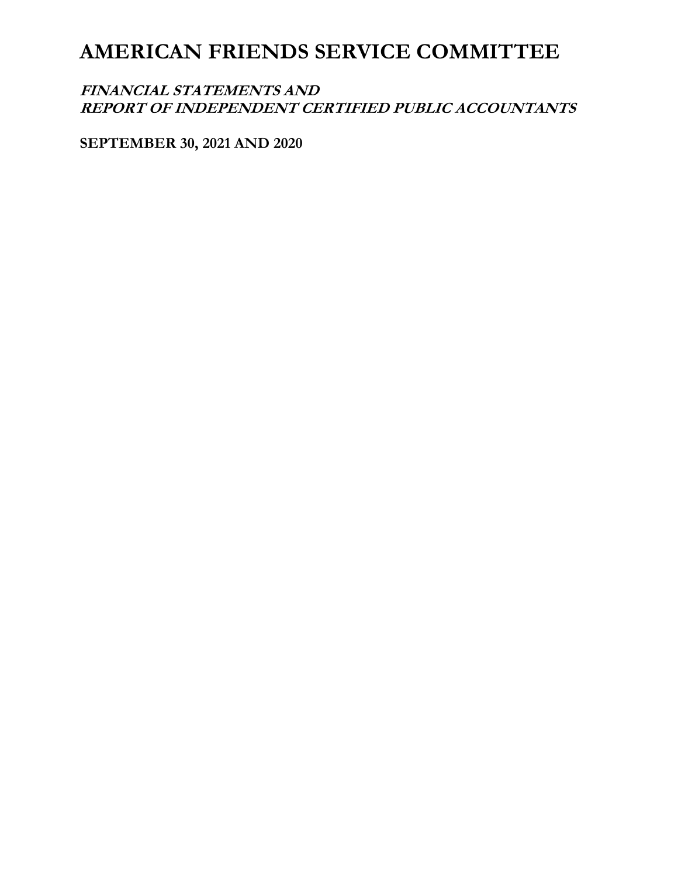# **FINANCIAL STATEMENTS AND REPORT OF INDEPENDENT CERTIFIED PUBLIC ACCOUNTANTS**

**SEPTEMBER 30, 2021 AND 2020**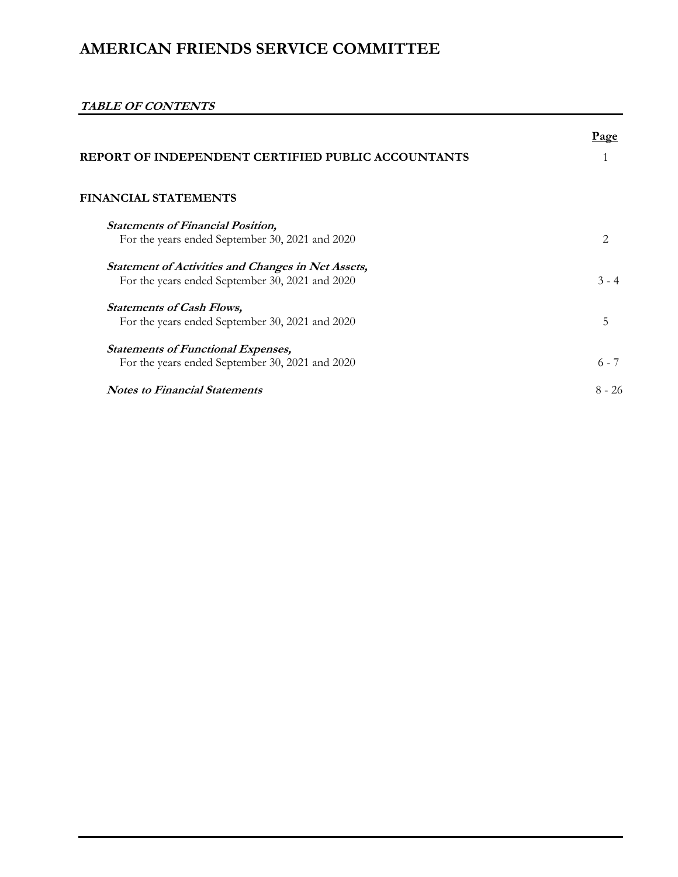# **TABLE OF CONTENTS**

| REPORT OF INDEPENDENT CERTIFIED PUBLIC ACCOUNTANTS        | Page                        |
|-----------------------------------------------------------|-----------------------------|
|                                                           |                             |
| <b>FINANCIAL STATEMENTS</b>                               |                             |
| <b>Statements of Financial Position,</b>                  |                             |
| For the years ended September 30, 2021 and 2020           | $\mathcal{D}_{\mathcal{A}}$ |
| <b>Statement of Activities and Changes in Net Assets,</b> |                             |
| For the years ended September 30, 2021 and 2020           | $3 - 4$                     |
| <b>Statements of Cash Flows,</b>                          |                             |
| For the years ended September 30, 2021 and 2020           | 5                           |
| <b>Statements of Functional Expenses,</b>                 |                             |
| For the years ended September 30, 2021 and 2020           | $6 - 7$                     |
| <b>Notes to Financial Statements</b>                      | $8 - 26$                    |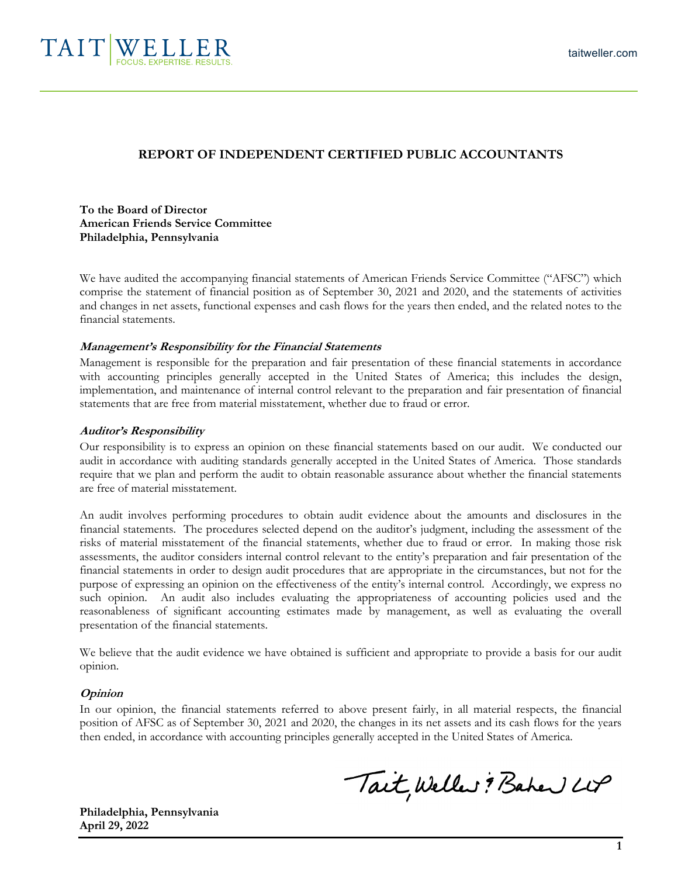

### **REPORT OF INDEPENDENT CERTIFIED PUBLIC ACCOUNTANTS**

**To the Board of Director American Friends Service Committee Philadelphia, Pennsylvania** 

We have audited the accompanying financial statements of American Friends Service Committee ("AFSC") which comprise the statement of financial position as of September 30, 2021 and 2020, and the statements of activities and changes in net assets, functional expenses and cash flows for the years then ended, and the related notes to the financial statements.

#### **Management's Responsibility for the Financial Statements**

Management is responsible for the preparation and fair presentation of these financial statements in accordance with accounting principles generally accepted in the United States of America; this includes the design, implementation, and maintenance of internal control relevant to the preparation and fair presentation of financial statements that are free from material misstatement, whether due to fraud or error.

#### **Auditor's Responsibility**

Our responsibility is to express an opinion on these financial statements based on our audit. We conducted our audit in accordance with auditing standards generally accepted in the United States of America. Those standards require that we plan and perform the audit to obtain reasonable assurance about whether the financial statements are free of material misstatement.

An audit involves performing procedures to obtain audit evidence about the amounts and disclosures in the financial statements. The procedures selected depend on the auditor's judgment, including the assessment of the risks of material misstatement of the financial statements, whether due to fraud or error. In making those risk assessments, the auditor considers internal control relevant to the entity's preparation and fair presentation of the financial statements in order to design audit procedures that are appropriate in the circumstances, but not for the purpose of expressing an opinion on the effectiveness of the entity's internal control. Accordingly, we express no such opinion. An audit also includes evaluating the appropriateness of accounting policies used and the reasonableness of significant accounting estimates made by management, as well as evaluating the overall presentation of the financial statements.

We believe that the audit evidence we have obtained is sufficient and appropriate to provide a basis for our audit opinion.

#### **Opinion**

In our opinion, the financial statements referred to above present fairly, in all material respects, the financial position of AFSC as of September 30, 2021 and 2020, the changes in its net assets and its cash flows for the years then ended, in accordance with accounting principles generally accepted in the United States of America.

Tait, Weller ? Baher LUP

**Philadelphia, Pennsylvania April 29, 2022**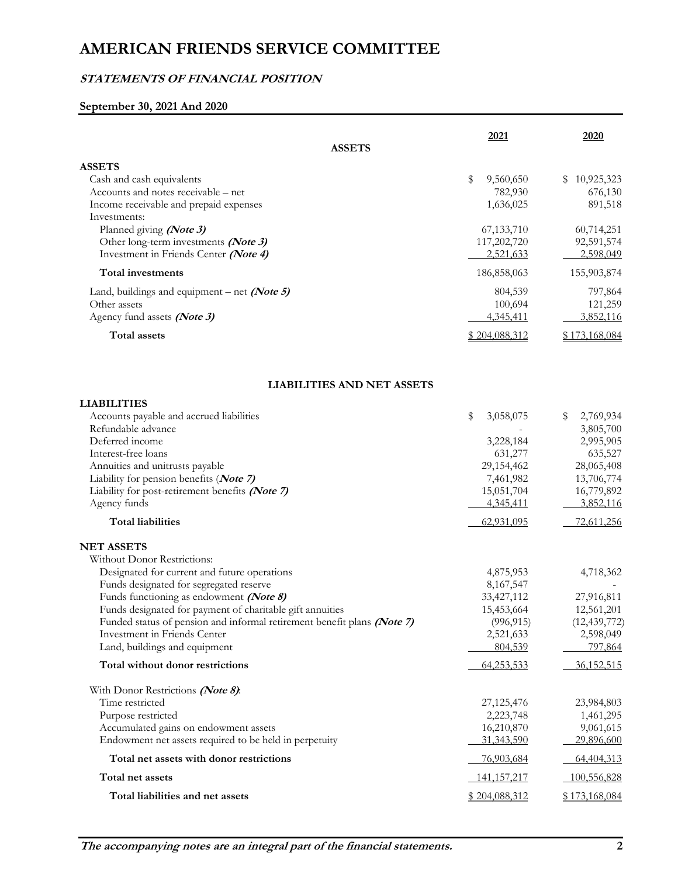# **STATEMENTS OF FINANCIAL POSITION**

# **September 30, 2021 And 2020**

| <b>ASSETS</b>                                                                                                                        | 2021                     | 2020                        |
|--------------------------------------------------------------------------------------------------------------------------------------|--------------------------|-----------------------------|
| <b>ASSETS</b>                                                                                                                        |                          |                             |
| Cash and cash equivalents                                                                                                            | \$<br>9,560,650          | 10,925,323<br>\$            |
| Accounts and notes receivable – net                                                                                                  | 782,930                  | 676,130                     |
| Income receivable and prepaid expenses                                                                                               | 1,636,025                | 891,518                     |
| Investments:                                                                                                                         |                          |                             |
| Planned giving (Note 3)                                                                                                              | 67,133,710               | 60,714,251                  |
| Other long-term investments (Note 3)                                                                                                 | 117,202,720              | 92,591,574                  |
| Investment in Friends Center (Note 4)                                                                                                | 2,521,633                | 2,598,049                   |
| <b>Total investments</b>                                                                                                             | 186,858,063              | 155,903,874                 |
| Land, buildings and equipment – net (Note 5)                                                                                         | 804,539                  | 797,864                     |
| Other assets                                                                                                                         | 100,694                  | 121,259                     |
| Agency fund assets (Note 3)                                                                                                          | 4,345,411                | 3,852,116                   |
| <b>Total assets</b>                                                                                                                  | \$204,088,312            | \$173,168,084               |
| <b>LIABILITIES AND NET ASSETS</b>                                                                                                    |                          |                             |
| <b>LIABILITIES</b>                                                                                                                   |                          |                             |
| Accounts payable and accrued liabilities                                                                                             | \$<br>3,058,075          | \$<br>2,769,934             |
| Refundable advance                                                                                                                   |                          | 3,805,700                   |
| Deferred income                                                                                                                      | 3,228,184                | 2,995,905                   |
| Interest-free loans                                                                                                                  | 631,277                  | 635,527                     |
| Annuities and unitrusts payable                                                                                                      | 29,154,462               | 28,065,408                  |
| Liability for pension benefits (Note 7)                                                                                              | 7,461,982                | 13,706,774                  |
| Liability for post-retirement benefits (Note 7)                                                                                      | 15,051,704               | 16,779,892                  |
| Agency funds                                                                                                                         | 4,345,411                | 3,852,116                   |
| <b>Total liabilities</b>                                                                                                             | 62,931,095               | 72,611,256                  |
| <b>NET ASSETS</b>                                                                                                                    |                          |                             |
| Without Donor Restrictions:                                                                                                          |                          |                             |
| Designated for current and future operations                                                                                         | 4,875,953                | 4,718,362                   |
| Funds designated for segregated reserve                                                                                              | 8,167,547                |                             |
| Funds functioning as endowment (Note 8)                                                                                              | 33,427,112               | 27,916,811                  |
| Funds designated for payment of charitable gift annuities<br>Funded status of pension and informal retirement benefit plans (Note 7) | 15,453,664<br>(996, 915) | 12,561,201                  |
| Investment in Friends Center                                                                                                         | 2,521,633                | (12, 439, 772)<br>2,598,049 |
| Land, buildings and equipment                                                                                                        | 804,539                  | 797,864                     |
| Total without donor restrictions                                                                                                     | 64,253,533               | 36,152,515                  |
|                                                                                                                                      |                          |                             |
| With Donor Restrictions (Note 8):<br>Time restricted                                                                                 | 27,125,476               | 23,984,803                  |
| Purpose restricted                                                                                                                   | 2,223,748                | 1,461,295                   |
| Accumulated gains on endowment assets                                                                                                | 16,210,870               | 9,061,615                   |
| Endowment net assets required to be held in perpetuity                                                                               | 31,343,590               | 29,896,600                  |
| Total net assets with donor restrictions                                                                                             | 76,903,684               | 64,404,313                  |
| Total net assets                                                                                                                     | 141, 157, 217            | 100,556,828                 |
| Total liabilities and net assets                                                                                                     | \$204,088,312            | \$173,168,084               |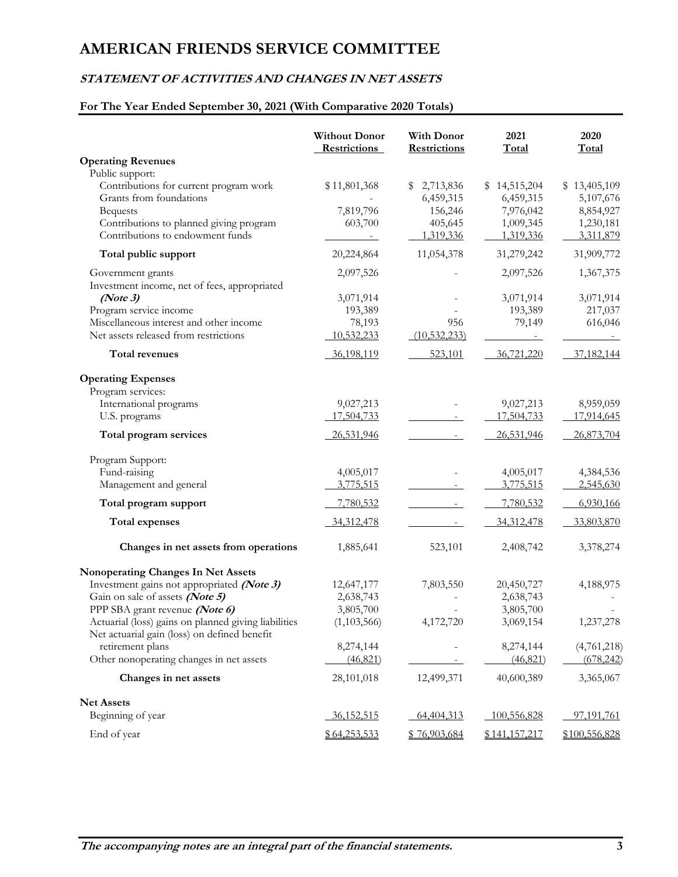# **STATEMENT OF ACTIVITIES AND CHANGES IN NET ASSETS**

# **For The Year Ended September 30, 2021 (With Comparative 2020 Totals)**

|                                                                                      | <b>Without Donor</b><br><b>Restrictions</b> | <b>With Donor</b><br>Restrictions | 2021<br><b>Total</b>   | 2020<br><b>Total</b>      |
|--------------------------------------------------------------------------------------|---------------------------------------------|-----------------------------------|------------------------|---------------------------|
| <b>Operating Revenues</b>                                                            |                                             |                                   |                        |                           |
| Public support:<br>Contributions for current program work<br>Grants from foundations | \$11,801,368                                | 2,713,836<br>S                    | \$14,515,204           | \$13,405,109<br>5,107,676 |
| <b>Bequests</b>                                                                      | 7,819,796                                   | 6,459,315<br>156,246              | 6,459,315<br>7,976,042 | 8,854,927                 |
| Contributions to planned giving program                                              | 603,700                                     | 405,645                           | 1,009,345              | 1,230,181                 |
| Contributions to endowment funds                                                     |                                             | 1,319,336                         | 1,319,336              | 3,311,879                 |
| Total public support                                                                 | 20,224,864                                  | 11,054,378                        | 31,279,242             | 31,909,772                |
| Government grants                                                                    | 2,097,526                                   |                                   | 2,097,526              | 1,367,375                 |
| Investment income, net of fees, appropriated                                         |                                             |                                   |                        |                           |
| (Note3)                                                                              | 3,071,914                                   |                                   | 3,071,914              | 3,071,914                 |
| Program service income                                                               | 193,389                                     |                                   | 193,389                | 217,037                   |
| Miscellaneous interest and other income                                              | 78,193                                      | 956                               | 79,149                 | 616,046                   |
| Net assets released from restrictions                                                | 10,532,233                                  | (10, 532, 233)                    |                        |                           |
| Total revenues                                                                       | 36,198,119                                  | 523,101                           | 36,721,220             | 37,182,144                |
| <b>Operating Expenses</b>                                                            |                                             |                                   |                        |                           |
| Program services:<br>International programs                                          | 9,027,213                                   |                                   | 9,027,213              | 8,959,059                 |
| U.S. programs                                                                        | 17,504,733                                  |                                   | 17,504,733             | 17,914,645                |
|                                                                                      |                                             |                                   |                        |                           |
| Total program services                                                               | 26,531,946                                  |                                   | 26,531,946             | 26,873,704                |
| Program Support:                                                                     |                                             |                                   |                        |                           |
| Fund-raising                                                                         | 4,005,017                                   |                                   | 4,005,017              | 4,384,536                 |
| Management and general                                                               | 3,775,515                                   |                                   | 3,775,515              | 2,545,630                 |
| Total program support                                                                | 7,780,532                                   | $\sim$                            | 7,780,532              | 6,930,166                 |
| <b>Total expenses</b>                                                                | 34, 312, 478                                |                                   | 34,312,478             | 33,803,870                |
| Changes in net assets from operations                                                | 1,885,641                                   | 523,101                           | 2,408,742              | 3,378,274                 |
| Nonoperating Changes In Net Assets                                                   |                                             |                                   |                        |                           |
| Investment gains not appropriated (Note 3)                                           | 12,647,177                                  | 7,803,550                         | 20,450,727             | 4,188,975                 |
| Gain on sale of assets (Note 5)                                                      | 2,638,743                                   |                                   | 2,638,743              |                           |
| PPP SBA grant revenue (Note 6)                                                       | 3,805,700                                   |                                   | 3,805,700              |                           |
| Actuarial (loss) gains on planned giving liabilities                                 | (1,103,566)                                 | 4,172,720                         | 3,069,154              | 1,237,278                 |
| Net actuarial gain (loss) on defined benefit                                         |                                             |                                   |                        |                           |
| retirement plans                                                                     | 8,274,144                                   |                                   | 8,274,144              | (4,761,218)               |
| Other nonoperating changes in net assets                                             | (46, 821)                                   |                                   | (46, 821)              | (678, 242)                |
| Changes in net assets                                                                | 28,101,018                                  | 12,499,371                        | 40,600,389             | 3,365,067                 |
| <b>Net Assets</b>                                                                    |                                             |                                   |                        |                           |
| Beginning of year                                                                    | 36,152,515                                  | 64,404,313                        | 100,556,828            | 97,191,761                |
| End of year                                                                          | \$64,253,533                                | \$76,903,684                      | \$141,157,217          | \$100,556,828             |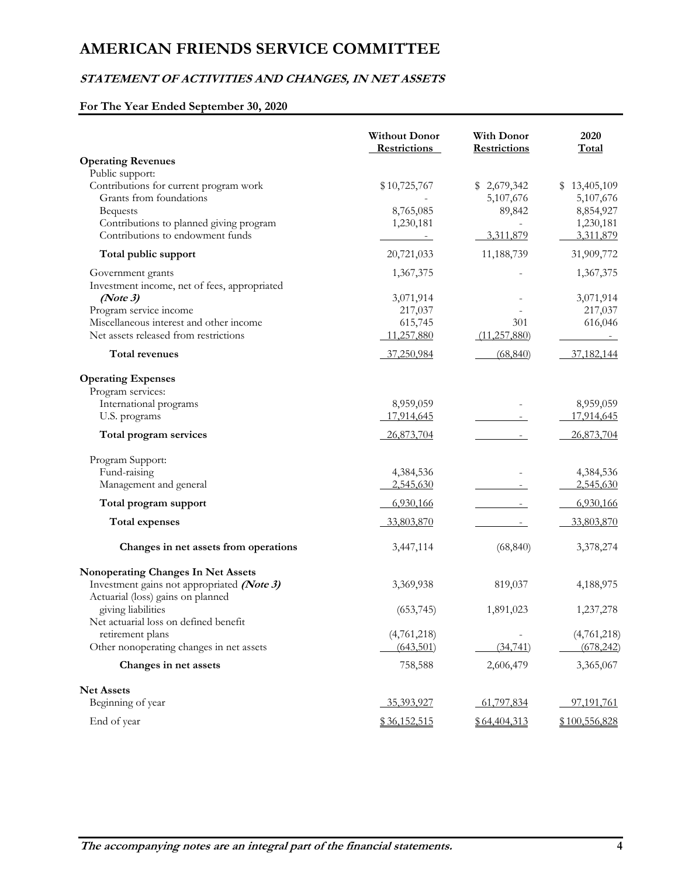# **STATEMENT OF ACTIVITIES AND CHANGES, IN NET ASSETS**

# **For The Year Ended September 30, 2020**

|                                                                                 | <b>Without Donor</b><br>Restrictions | <b>With Donor</b><br><b>Restrictions</b> | 2020<br>Total          |
|---------------------------------------------------------------------------------|--------------------------------------|------------------------------------------|------------------------|
| <b>Operating Revenues</b>                                                       |                                      |                                          |                        |
| Public support:                                                                 |                                      |                                          |                        |
| Contributions for current program work                                          | \$10,725,767                         | \$2,679,342                              | \$13,405,109           |
| Grants from foundations                                                         |                                      | 5,107,676                                | 5,107,676              |
| <b>Bequests</b><br>Contributions to planned giving program                      | 8,765,085<br>1,230,181               | 89,842                                   | 8,854,927<br>1,230,181 |
| Contributions to endowment funds                                                |                                      | 3,311,879                                | 3,311,879              |
| Total public support                                                            | 20,721,033                           | 11,188,739                               | 31,909,772             |
| Government grants                                                               | 1,367,375                            |                                          | 1,367,375              |
| Investment income, net of fees, appropriated                                    |                                      |                                          |                        |
| (Note3)                                                                         | 3,071,914                            |                                          | 3,071,914              |
| Program service income                                                          | 217,037                              |                                          | 217,037                |
| Miscellaneous interest and other income                                         | 615,745                              | 301                                      | 616,046                |
| Net assets released from restrictions                                           | 11,257,880                           | (11,257,880)                             |                        |
| Total revenues                                                                  | 37,250,984                           | (68, 840)                                | 37,182,144             |
| <b>Operating Expenses</b>                                                       |                                      |                                          |                        |
| Program services:                                                               |                                      |                                          |                        |
| International programs                                                          | 8,959,059                            |                                          | 8,959,059              |
| U.S. programs                                                                   | 17,914,645                           |                                          | 17,914,645             |
| Total program services                                                          | 26,873,704                           |                                          | 26,873,704             |
| Program Support:                                                                |                                      |                                          |                        |
| Fund-raising                                                                    | 4,384,536                            |                                          | 4,384,536              |
| Management and general                                                          | 2,545,630                            |                                          | 2,545,630              |
| Total program support                                                           | 6,930,166                            |                                          | 6,930,166              |
| Total expenses                                                                  | 33,803,870                           |                                          | 33,803,870             |
| Changes in net assets from operations                                           | 3,447,114                            | (68, 840)                                | 3,378,274              |
| Nonoperating Changes In Net Assets                                              |                                      |                                          |                        |
| Investment gains not appropriated (Note 3)<br>Actuarial (loss) gains on planned | 3,369,938                            | 819,037                                  | 4,188,975              |
| giving liabilities                                                              | (653, 745)                           | 1,891,023                                | 1,237,278              |
| Net actuarial loss on defined benefit                                           |                                      |                                          |                        |
| retirement plans                                                                | (4,761,218)                          |                                          | (4,761,218)            |
| Other nonoperating changes in net assets                                        | (643, 501)                           | (34,741)                                 | (678, 242)             |
| Changes in net assets                                                           | 758,588                              | 2,606,479                                | 3,365,067              |
| <b>Net Assets</b>                                                               |                                      |                                          |                        |
| Beginning of year                                                               | 35,393,927                           | 61,797,834                               | 97,191,761             |
| End of year                                                                     | \$36,152,515                         | \$64,404,313                             | \$100,556,828          |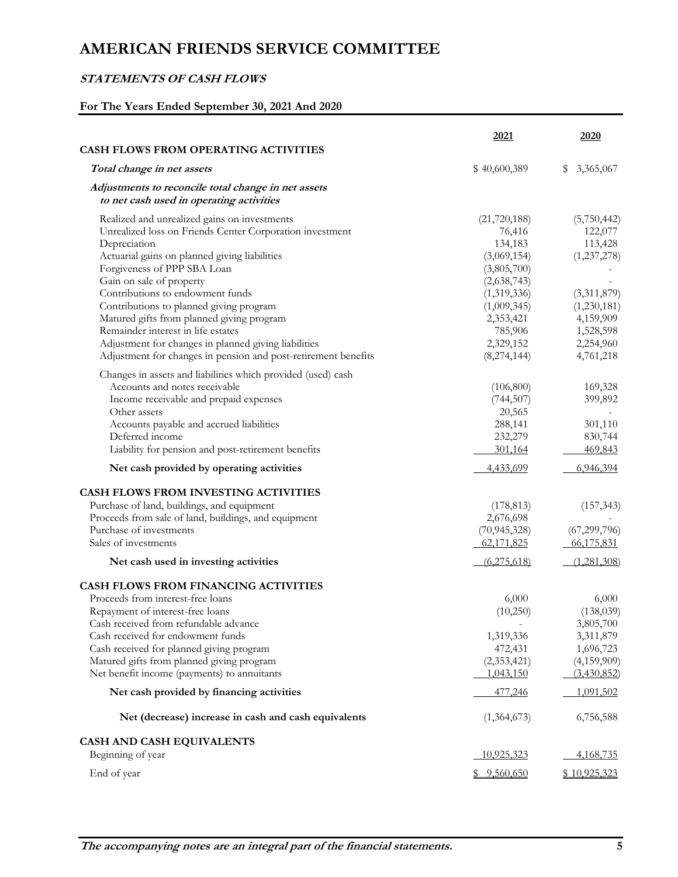# **STATEMENTS OF CASH FLOWS**

# **For The Years Ended September 30, 2021 And 2020**

|                                                                                                                                                                                                                                                                                             | 2021                                                                                            | 2020                                                                                    |
|---------------------------------------------------------------------------------------------------------------------------------------------------------------------------------------------------------------------------------------------------------------------------------------------|-------------------------------------------------------------------------------------------------|-----------------------------------------------------------------------------------------|
| <b>CASH FLOWS FROM OPERATING ACTIVITIES</b>                                                                                                                                                                                                                                                 |                                                                                                 |                                                                                         |
| Total change in net assets                                                                                                                                                                                                                                                                  | \$40,600,389                                                                                    | 3,365,067<br>\$                                                                         |
| Adjustments to reconcile total change in net assets<br>to net cash used in operating activities                                                                                                                                                                                             |                                                                                                 |                                                                                         |
| Realized and unrealized gains on investments<br>Unrealized loss on Friends Center Corporation investment<br>Depreciation<br>Actuarial gains on planned giving liabilities<br>Forgiveness of PPP SBA Loan<br>Gain on sale of property<br>Contributions to endowment funds                    | (21, 720, 188)<br>76,416<br>134,183<br>(3,069,154)<br>(3,805,700)<br>(2,638,743)<br>(1,319,336) | (5,750,442)<br>122,077<br>113,428<br>(1,237,278)<br>(3,311,879)                         |
| Contributions to planned giving program<br>Matured gifts from planned giving program<br>Remainder interest in life estates<br>Adjustment for changes in planned giving liabilities<br>Adjustment for changes in pension and post-retirement benefits                                        | (1,009,345)<br>2,353,421<br>785,906<br>2,329,152<br>(8, 274, 144)                               | (1,230,181)<br>4,159,909<br>1,528,598<br>2,254,960<br>4,761,218                         |
| Changes in assets and liabilities which provided (used) cash<br>Accounts and notes receivable<br>Income receivable and prepaid expenses<br>Other assets<br>Accounts payable and accrued liabilities<br>Deferred income<br>Liability for pension and post-retirement benefits                | (106, 800)<br>(744, 507)<br>20,565<br>288,141<br>232,279<br>301,164                             | 169,328<br>399,892<br>301,110<br>830,744<br>469,843                                     |
| Net cash provided by operating activities                                                                                                                                                                                                                                                   | 4,433,699                                                                                       | 6,946,394                                                                               |
| CASH FLOWS FROM INVESTING ACTIVITIES<br>Purchase of land, buildings, and equipment<br>Proceeds from sale of land, buildings, and equipment<br>Purchase of investments<br>Sales of investments<br>Net cash used in investing activities                                                      | (178, 813)<br>2,676,698<br>(70, 945, 328)<br>62,171,825<br>(6,275,618)                          | (157, 343)<br>(67, 299, 796)<br>66,175,831<br>(1,281,308)                               |
| <b>CASH FLOWS FROM FINANCING ACTIVITIES</b>                                                                                                                                                                                                                                                 |                                                                                                 |                                                                                         |
| Proceeds from interest-free loans<br>Repayment of interest-free loans<br>Cash received from refundable advance<br>Cash received for endowment funds<br>Cash received for planned giving program<br>Matured gifts from planned giving program<br>Net benefit income (payments) to annuitants | 6,000<br>(10,250)<br>1,319,336<br>472,431<br>(2,353,421)<br>1,043,150                           | 6,000<br>(138,039)<br>3,805,700<br>3,311,879<br>1,696,723<br>(4,159,909)<br>(3,430,852) |
| Net cash provided by financing activities                                                                                                                                                                                                                                                   | 477,246                                                                                         | 1,091,502                                                                               |
| Net (decrease) increase in cash and cash equivalents                                                                                                                                                                                                                                        | (1,364,673)                                                                                     | 6,756,588                                                                               |
| CASH AND CASH EQUIVALENTS<br>Beginning of year                                                                                                                                                                                                                                              | 10,925,323                                                                                      | 4,168,735                                                                               |
| End of year                                                                                                                                                                                                                                                                                 | \$9,560,650                                                                                     | <u>\$10,925,323</u>                                                                     |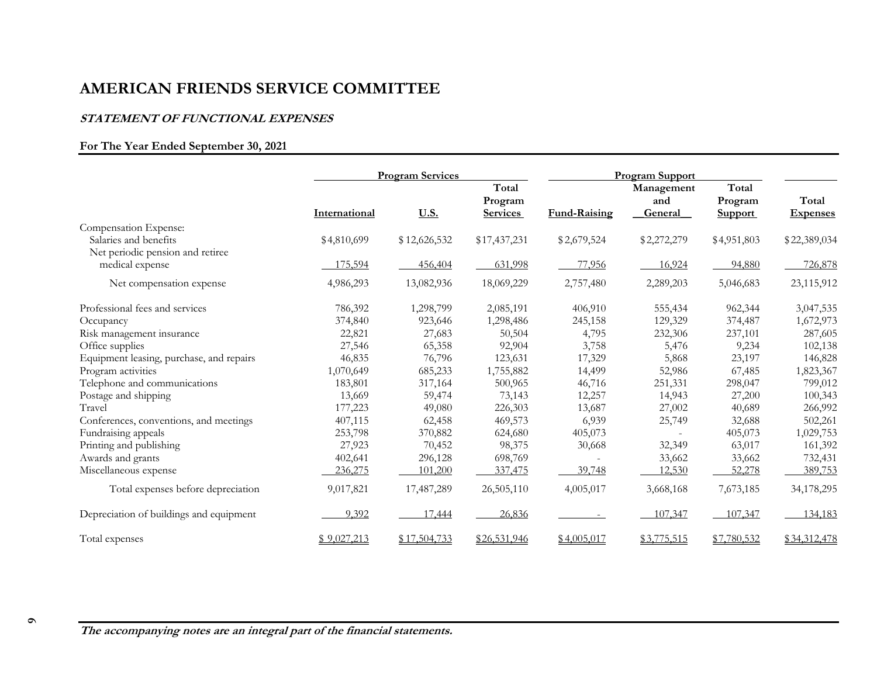#### **STATEMENT OF FUNCTIONAL EXPENSES**

### **For The Year Ended September 30, 2021**

|                                          | <b>Program Services</b> |              | <b>Program Support</b>              |              |                                     |                                    |                          |
|------------------------------------------|-------------------------|--------------|-------------------------------------|--------------|-------------------------------------|------------------------------------|--------------------------|
|                                          | International           | <u>U.S.</u>  | Total<br>Program<br><b>Services</b> | Fund-Raising | Management<br>and<br><b>General</b> | Total<br>Program<br><b>Support</b> | Total<br><b>Expenses</b> |
| Compensation Expense:                    |                         |              |                                     |              |                                     |                                    |                          |
| Salaries and benefits                    | \$4,810,699             | \$12,626,532 | \$17,437,231                        | \$2,679,524  | \$2,272,279                         | \$4,951,803                        | \$22,389,034             |
| Net periodic pension and retiree         |                         |              |                                     |              |                                     |                                    |                          |
| medical expense                          | 175,594                 | 456,404      | 631,998                             | 77,956       | 16,924                              | 94,880                             | 726,878                  |
| Net compensation expense                 | 4,986,293               | 13,082,936   | 18,069,229                          | 2,757,480    | 2,289,203                           | 5,046,683                          | 23,115,912               |
| Professional fees and services           | 786,392                 | 1,298,799    | 2,085,191                           | 406,910      | 555,434                             | 962,344                            | 3,047,535                |
| Occupancy                                | 374,840                 | 923,646      | 1,298,486                           | 245,158      | 129,329                             | 374,487                            | 1,672,973                |
| Risk management insurance                | 22,821                  | 27,683       | 50,504                              | 4,795        | 232,306                             | 237,101                            | 287,605                  |
| Office supplies                          | 27,546                  | 65,358       | 92,904                              | 3,758        | 5,476                               | 9,234                              | 102,138                  |
| Equipment leasing, purchase, and repairs | 46,835                  | 76,796       | 123,631                             | 17,329       | 5,868                               | 23,197                             | 146,828                  |
| Program activities                       | 1,070,649               | 685,233      | 1,755,882                           | 14,499       | 52,986                              | 67,485                             | 1,823,367                |
| Telephone and communications             | 183,801                 | 317,164      | 500,965                             | 46,716       | 251,331                             | 298,047                            | 799,012                  |
| Postage and shipping                     | 13,669                  | 59,474       | 73,143                              | 12,257       | 14,943                              | 27,200                             | 100,343                  |
| Travel                                   | 177,223                 | 49,080       | 226,303                             | 13,687       | 27,002                              | 40,689                             | 266,992                  |
| Conferences, conventions, and meetings   | 407,115                 | 62,458       | 469,573                             | 6,939        | 25,749                              | 32,688                             | 502,261                  |
| Fundraising appeals                      | 253,798                 | 370,882      | 624,680                             | 405,073      | $\sim$                              | 405,073                            | 1,029,753                |
| Printing and publishing                  | 27,923                  | 70,452       | 98,375                              | 30,668       | 32,349                              | 63,017                             | 161,392                  |
| Awards and grants                        | 402,641                 | 296,128      | 698,769                             |              | 33,662                              | 33,662                             | 732,431                  |
| Miscellaneous expense                    | 236,275                 | 101,200      | 337,475                             | 39,748       | 12,530                              | 52,278                             | 389,753                  |
| Total expenses before depreciation       | 9,017,821               | 17,487,289   | 26,505,110                          | 4,005,017    | 3,668,168                           | 7,673,185                          | 34,178,295               |
| Depreciation of buildings and equipment  | 9,392                   | 17,444       | 26,836                              |              | 107,347                             | 107,347                            | 134,183                  |
| Total expenses                           | \$9,027,213             | \$17,504,733 | \$26,531,946                        | \$4,005,017  | \$3,775,515                         | \$7,780,532                        | \$34,312,478             |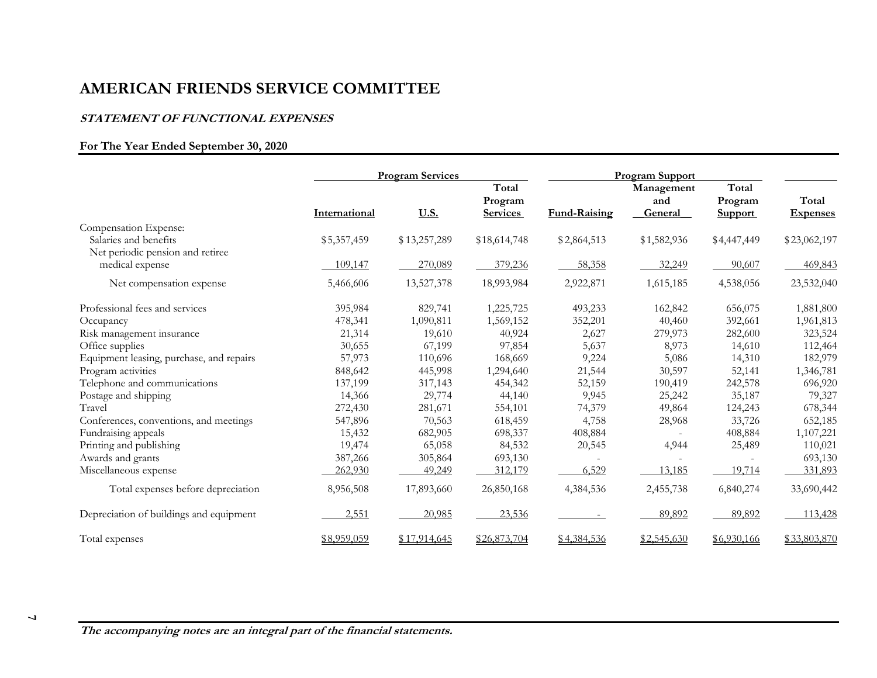#### **STATEMENT OF FUNCTIONAL EXPENSES**

### **For The Year Ended September 30, 2020**

|                                          | <b>Program Services</b> |              | <b>Program Support</b>              |              |                              |                                    |                          |
|------------------------------------------|-------------------------|--------------|-------------------------------------|--------------|------------------------------|------------------------------------|--------------------------|
|                                          | International           | <u>U.S.</u>  | Total<br>Program<br><b>Services</b> | Fund-Raising | Management<br>and<br>General | Total<br>Program<br><b>Support</b> | Total<br><b>Expenses</b> |
| Compensation Expense:                    |                         |              |                                     |              |                              |                                    |                          |
| Salaries and benefits                    | \$5,357,459             | \$13,257,289 | \$18,614,748                        | \$2,864,513  | \$1,582,936                  | \$4,447,449                        | \$23,062,197             |
| Net periodic pension and retiree         |                         |              |                                     |              |                              |                                    |                          |
| medical expense                          | 109,147                 | 270,089      | 379,236                             | 58,358       | 32,249                       | 90,607                             | 469,843                  |
| Net compensation expense                 | 5,466,606               | 13,527,378   | 18,993,984                          | 2,922,871    | 1,615,185                    | 4,538,056                          | 23,532,040               |
| Professional fees and services           | 395,984                 | 829,741      | 1,225,725                           | 493,233      | 162,842                      | 656,075                            | 1,881,800                |
| Occupancy                                | 478,341                 | 1,090,811    | 1,569,152                           | 352,201      | 40,460                       | 392,661                            | 1,961,813                |
| Risk management insurance                | 21,314                  | 19,610       | 40,924                              | 2,627        | 279,973                      | 282,600                            | 323,524                  |
| Office supplies                          | 30,655                  | 67,199       | 97,854                              | 5,637        | 8,973                        | 14,610                             | 112,464                  |
| Equipment leasing, purchase, and repairs | 57,973                  | 110,696      | 168,669                             | 9,224        | 5,086                        | 14,310                             | 182,979                  |
| Program activities                       | 848,642                 | 445,998      | 1,294,640                           | 21,544       | 30,597                       | 52,141                             | 1,346,781                |
| Telephone and communications             | 137,199                 | 317,143      | 454,342                             | 52,159       | 190,419                      | 242,578                            | 696,920                  |
| Postage and shipping                     | 14,366                  | 29,774       | 44,140                              | 9,945        | 25,242                       | 35,187                             | 79,327                   |
| Travel                                   | 272,430                 | 281,671      | 554,101                             | 74,379       | 49,864                       | 124,243                            | 678,344                  |
| Conferences, conventions, and meetings   | 547,896                 | 70,563       | 618,459                             | 4,758        | 28,968                       | 33,726                             | 652,185                  |
| Fundraising appeals                      | 15,432                  | 682,905      | 698,337                             | 408,884      |                              | 408,884                            | 1,107,221                |
| Printing and publishing                  | 19,474                  | 65,058       | 84,532                              | 20,545       | 4,944                        | 25,489                             | 110,021                  |
| Awards and grants                        | 387,266                 | 305,864      | 693,130                             |              |                              |                                    | 693,130                  |
| Miscellaneous expense                    | 262,930                 | 49,249       | 312,179                             | 6,529        | 13,185                       | 19,714                             | 331,893                  |
| Total expenses before depreciation       | 8,956,508               | 17,893,660   | 26,850,168                          | 4,384,536    | 2,455,738                    | 6,840,274                          | 33,690,442               |
| Depreciation of buildings and equipment  | 2,551                   | 20,985       | 23,536                              |              | 89,892                       | 89,892                             | 113,428                  |
| Total expenses                           | \$8,959,059             | \$17,914,645 | \$26,873,704                        | \$4,384,536  | \$2,545,630                  | \$6,930,166                        | \$33,803,870             |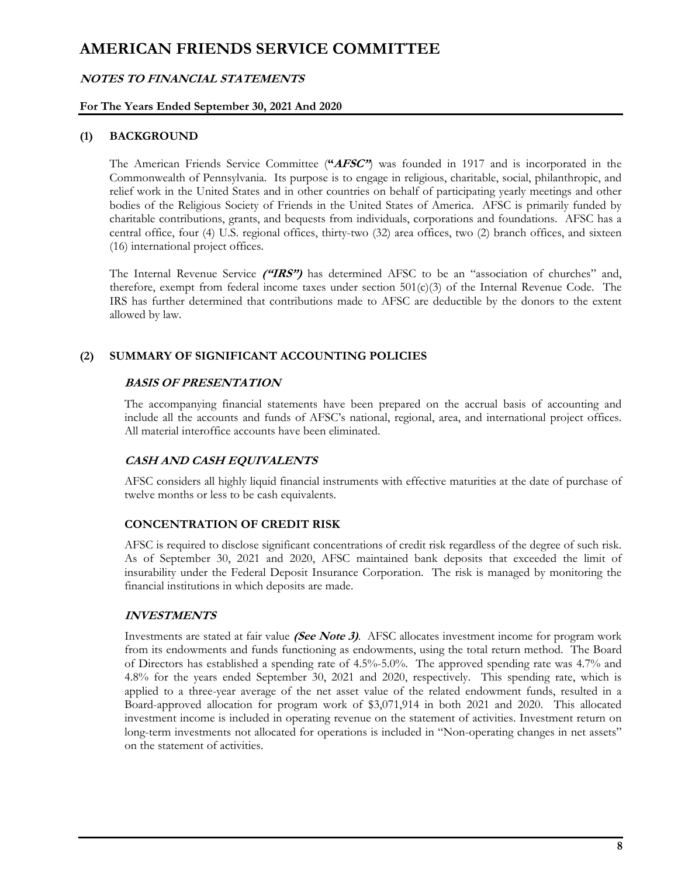### **NOTES TO FINANCIAL STATEMENTS**

### **For The Years Ended September 30, 2021 And 2020**

### **(1) BACKGROUND**

The American Friends Service Committee (**"AFSC"**) was founded in 1917 and is incorporated in the Commonwealth of Pennsylvania. Its purpose is to engage in religious, charitable, social, philanthropic, and relief work in the United States and in other countries on behalf of participating yearly meetings and other bodies of the Religious Society of Friends in the United States of America. AFSC is primarily funded by charitable contributions, grants, and bequests from individuals, corporations and foundations. AFSC has a central office, four (4) U.S. regional offices, thirty-two (32) area offices, two (2) branch offices, and sixteen (16) international project offices.

The Internal Revenue Service **("IRS")** has determined AFSC to be an "association of churches" and, therefore, exempt from federal income taxes under section  $501(c)(3)$  of the Internal Revenue Code. The IRS has further determined that contributions made to AFSC are deductible by the donors to the extent allowed by law.

### **(2) SUMMARY OF SIGNIFICANT ACCOUNTING POLICIES**

#### **BASIS OF PRESENTATION**

The accompanying financial statements have been prepared on the accrual basis of accounting and include all the accounts and funds of AFSC's national, regional, area, and international project offices. All material interoffice accounts have been eliminated.

### **CASH AND CASH EQUIVALENTS**

AFSC considers all highly liquid financial instruments with effective maturities at the date of purchase of twelve months or less to be cash equivalents.

### **CONCENTRATION OF CREDIT RISK**

AFSC is required to disclose significant concentrations of credit risk regardless of the degree of such risk. As of September 30, 2021 and 2020, AFSC maintained bank deposits that exceeded the limit of insurability under the Federal Deposit Insurance Corporation. The risk is managed by monitoring the financial institutions in which deposits are made.

### **INVESTMENTS**

Investments are stated at fair value **(See Note 3)**. AFSC allocates investment income for program work from its endowments and funds functioning as endowments, using the total return method. The Board of Directors has established a spending rate of 4.5%-5.0%. The approved spending rate was 4.7% and 4.8% for the years ended September 30, 2021 and 2020, respectively. This spending rate, which is applied to a three-year average of the net asset value of the related endowment funds, resulted in a Board-approved allocation for program work of \$3,071,914 in both 2021 and 2020. This allocated investment income is included in operating revenue on the statement of activities. Investment return on long-term investments not allocated for operations is included in "Non-operating changes in net assets" on the statement of activities.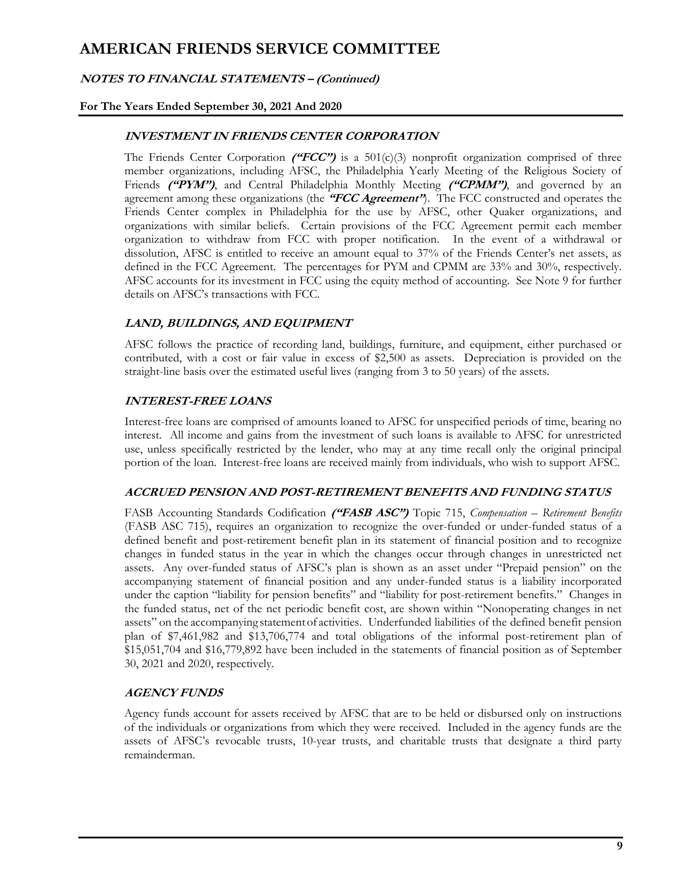### **NOTES TO FINANCIAL STATEMENTS – (Continued)**

### **For The Years Ended September 30, 2021 And 2020**

### **INVESTMENT IN FRIENDS CENTER CORPORATION**

The Friends Center Corporation **("FCC")** is a 501(c)(3) nonprofit organization comprised of three member organizations, including AFSC, the Philadelphia Yearly Meeting of the Religious Society of Friends **("PYM")**, and Central Philadelphia Monthly Meeting **("CPMM")**, and governed by an agreement among these organizations (the **"FCC Agreement"**). The FCC constructed and operates the Friends Center complex in Philadelphia for the use by AFSC, other Quaker organizations, and organizations with similar beliefs. Certain provisions of the FCC Agreement permit each member organization to withdraw from FCC with proper notification. In the event of a withdrawal or dissolution, AFSC is entitled to receive an amount equal to 37% of the Friends Center's net assets, as defined in the FCC Agreement. The percentages for PYM and CPMM are 33% and 30%, respectively. AFSC accounts for its investment in FCC using the equity method of accounting. See Note 9 for further details on AFSC's transactions with FCC.

### **LAND, BUILDINGS, AND EQUIPMENT**

AFSC follows the practice of recording land, buildings, furniture, and equipment, either purchased or contributed, with a cost or fair value in excess of \$2,500 as assets. Depreciation is provided on the straight-line basis over the estimated useful lives (ranging from 3 to 50 years) of the assets.

### **INTEREST-FREE LOANS**

Interest-free loans are comprised of amounts loaned to AFSC for unspecified periods of time, bearing no interest. All income and gains from the investment of such loans is available to AFSC for unrestricted use, unless specifically restricted by the lender, who may at any time recall only the original principal portion of the loan. Interest-free loans are received mainly from individuals, who wish to support AFSC.

#### **ACCRUED PENSION AND POST-RETIREMENT BENEFITS AND FUNDING STATUS**

FASB Accounting Standards Codification **("FASB ASC")** Topic 715, *Compensation – Retirement Benefits* (FASB ASC 715), requires an organization to recognize the over-funded or under-funded status of a defined benefit and post-retirement benefit plan in its statement of financial position and to recognize changes in funded status in the year in which the changes occur through changes in unrestricted net assets. Any over-funded status of AFSC's plan is shown as an asset under "Prepaid pension" on the accompanying statement of financial position and any under-funded status is a liability incorporated under the caption "liability for pension benefits" and "liability for post-retirement benefits." Changes in the funded status, net of the net periodic benefit cost, are shown within "Nonoperating changes in net assets" on the accompanying statementof activities. Underfunded liabilities of the defined benefit pension plan of \$7,461,982 and \$13,706,774 and total obligations of the informal post-retirement plan of \$15,051,704 and \$16,779,892 have been included in the statements of financial position as of September 30, 2021 and 2020, respectively.

### **AGENCY FUNDS**

Agency funds account for assets received by AFSC that are to be held or disbursed only on instructions of the individuals or organizations from which they were received. Included in the agency funds are the assets of AFSC's revocable trusts, 10-year trusts, and charitable trusts that designate a third party remainderman.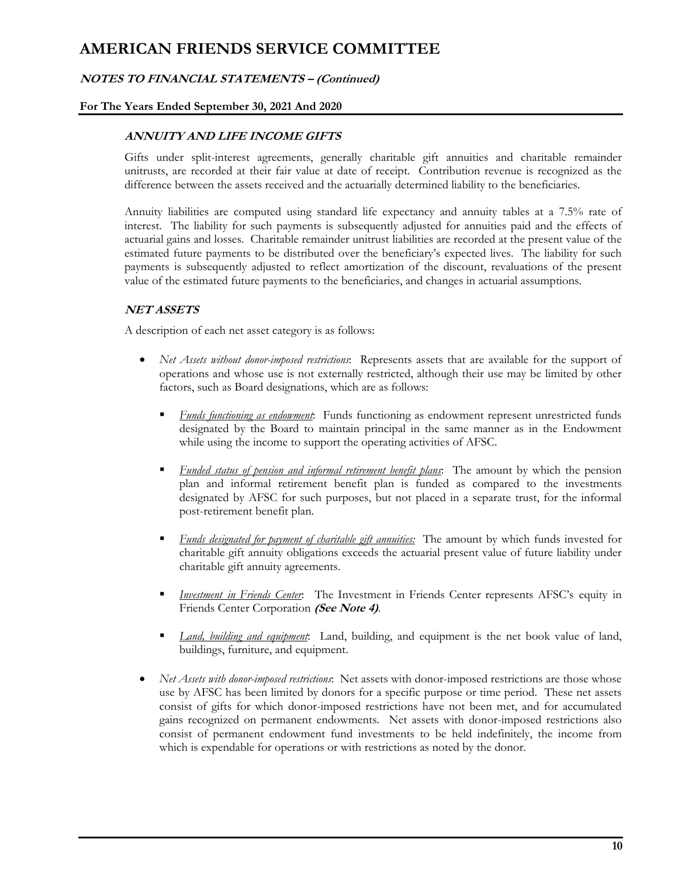## **NOTES TO FINANCIAL STATEMENTS – (Continued)**

### **For The Years Ended September 30, 2021 And 2020**

### **ANNUITY AND LIFE INCOME GIFTS**

Gifts under split-interest agreements, generally charitable gift annuities and charitable remainder unitrusts, are recorded at their fair value at date of receipt. Contribution revenue is recognized as the difference between the assets received and the actuarially determined liability to the beneficiaries.

Annuity liabilities are computed using standard life expectancy and annuity tables at a 7.5% rate of interest. The liability for such payments is subsequently adjusted for annuities paid and the effects of actuarial gains and losses. Charitable remainder unitrust liabilities are recorded at the present value of the estimated future payments to be distributed over the beneficiary's expected lives. The liability for such payments is subsequently adjusted to reflect amortization of the discount, revaluations of the present value of the estimated future payments to the beneficiaries, and changes in actuarial assumptions.

### **NET ASSETS**

A description of each net asset category is as follows:

- *Net Assets without donor-imposed restrictions*: Represents assets that are available for the support of operations and whose use is not externally restricted, although their use may be limited by other factors, such as Board designations, which are as follows:
	- *Funds functioning as endowment*: Funds functioning as endowment represent unrestricted funds designated by the Board to maintain principal in the same manner as in the Endowment while using the income to support the operating activities of AFSC.
	- *Funded status of pension and informal retirement benefit plans*: The amount by which the pension plan and informal retirement benefit plan is funded as compared to the investments designated by AFSC for such purposes, but not placed in a separate trust, for the informal post-retirement benefit plan.
	- *Funds designated for payment of charitable gift annuities:* The amount by which funds invested for charitable gift annuity obligations exceeds the actuarial present value of future liability under charitable gift annuity agreements.
	- *Investment in Friends Center*: The Investment in Friends Center represents AFSC's equity in Friends Center Corporation **(See Note 4)**.
	- *Land, building and equipment*: Land, building, and equipment is the net book value of land, buildings, furniture, and equipment.
- *Net Assets with donor-imposed restrictions*: Net assets with donor-imposed restrictions are those whose use by AFSC has been limited by donors for a specific purpose or time period. These net assets consist of gifts for which donor-imposed restrictions have not been met, and for accumulated gains recognized on permanent endowments. Net assets with donor-imposed restrictions also consist of permanent endowment fund investments to be held indefinitely, the income from which is expendable for operations or with restrictions as noted by the donor.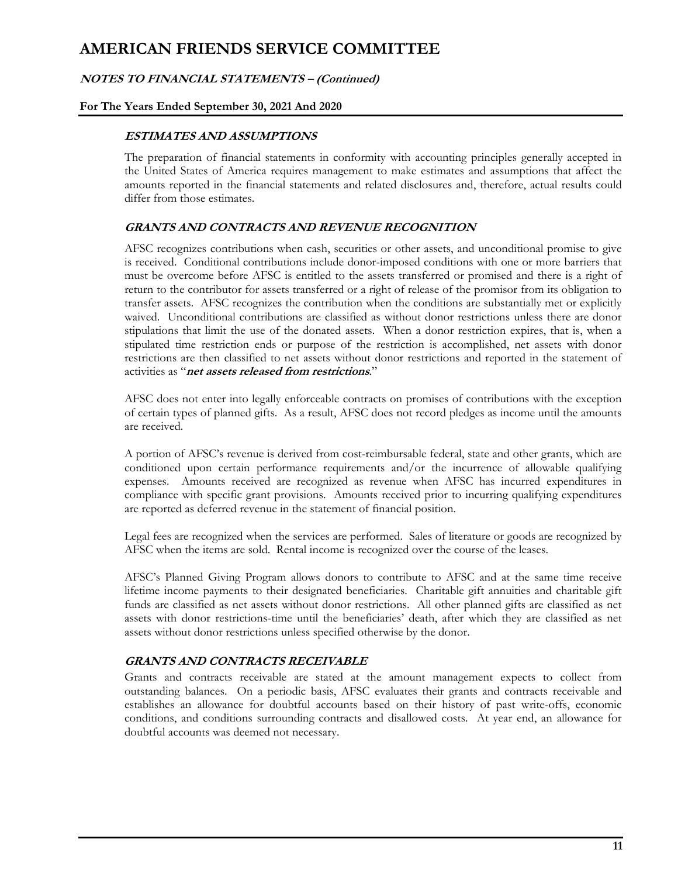### **NOTES TO FINANCIAL STATEMENTS – (Continued)**

### **For The Years Ended September 30, 2021 And 2020**

### **ESTIMATES AND ASSUMPTIONS**

The preparation of financial statements in conformity with accounting principles generally accepted in the United States of America requires management to make estimates and assumptions that affect the amounts reported in the financial statements and related disclosures and, therefore, actual results could differ from those estimates.

### **GRANTS AND CONTRACTS AND REVENUE RECOGNITION**

AFSC recognizes contributions when cash, securities or other assets, and unconditional promise to give is received. Conditional contributions include donor-imposed conditions with one or more barriers that must be overcome before AFSC is entitled to the assets transferred or promised and there is a right of return to the contributor for assets transferred or a right of release of the promisor from its obligation to transfer assets. AFSC recognizes the contribution when the conditions are substantially met or explicitly waived. Unconditional contributions are classified as without donor restrictions unless there are donor stipulations that limit the use of the donated assets. When a donor restriction expires, that is, when a stipulated time restriction ends or purpose of the restriction is accomplished, net assets with donor restrictions are then classified to net assets without donor restrictions and reported in the statement of activities as "**net assets released from restrictions**."

AFSC does not enter into legally enforceable contracts on promises of contributions with the exception of certain types of planned gifts. As a result, AFSC does not record pledges as income until the amounts are received.

A portion of AFSC's revenue is derived from cost-reimbursable federal, state and other grants, which are conditioned upon certain performance requirements and/or the incurrence of allowable qualifying expenses. Amounts received are recognized as revenue when AFSC has incurred expenditures in compliance with specific grant provisions. Amounts received prior to incurring qualifying expenditures are reported as deferred revenue in the statement of financial position.

Legal fees are recognized when the services are performed. Sales of literature or goods are recognized by AFSC when the items are sold. Rental income is recognized over the course of the leases.

AFSC's Planned Giving Program allows donors to contribute to AFSC and at the same time receive lifetime income payments to their designated beneficiaries. Charitable gift annuities and charitable gift funds are classified as net assets without donor restrictions. All other planned gifts are classified as net assets with donor restrictions-time until the beneficiaries' death, after which they are classified as net assets without donor restrictions unless specified otherwise by the donor.

### **GRANTS AND CONTRACTS RECEIVABLE**

Grants and contracts receivable are stated at the amount management expects to collect from outstanding balances. On a periodic basis, AFSC evaluates their grants and contracts receivable and establishes an allowance for doubtful accounts based on their history of past write-offs, economic conditions, and conditions surrounding contracts and disallowed costs. At year end, an allowance for doubtful accounts was deemed not necessary.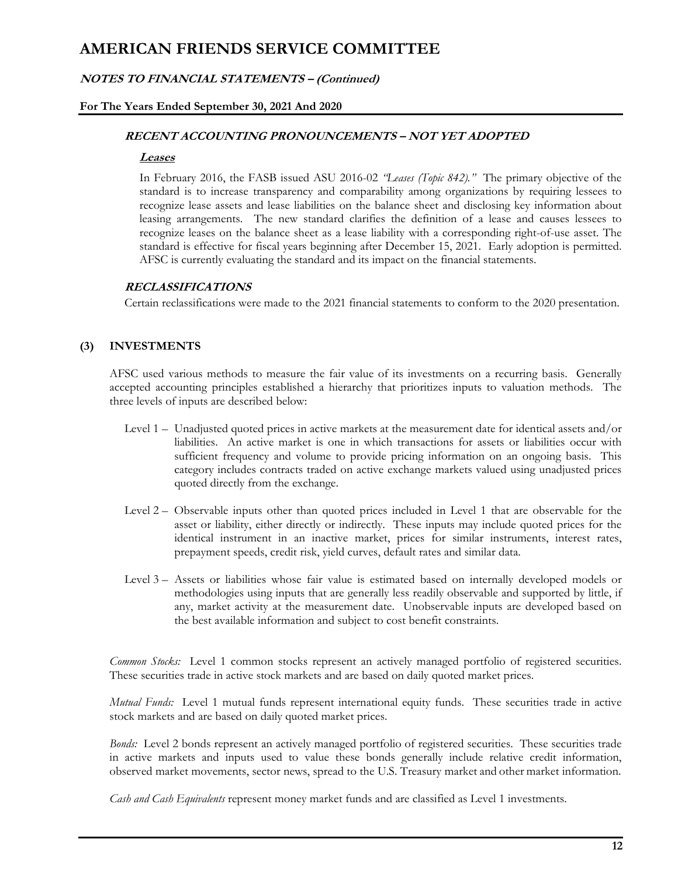### **NOTES TO FINANCIAL STATEMENTS – (Continued)**

### **For The Years Ended September 30, 2021 And 2020**

### **RECENT ACCOUNTING PRONOUNCEMENTS – NOT YET ADOPTED**

#### **Leases**

In February 2016, the FASB issued ASU 2016-02 *"Leases (Topic 842)."* The primary objective of the standard is to increase transparency and comparability among organizations by requiring lessees to recognize lease assets and lease liabilities on the balance sheet and disclosing key information about leasing arrangements. The new standard clarifies the definition of a lease and causes lessees to recognize leases on the balance sheet as a lease liability with a corresponding right-of-use asset. The standard is effective for fiscal years beginning after December 15, 2021. Early adoption is permitted. AFSC is currently evaluating the standard and its impact on the financial statements.

### **RECLASSIFICATIONS**

Certain reclassifications were made to the 2021 financial statements to conform to the 2020 presentation.

# **(3) INVESTMENTS**

AFSC used various methods to measure the fair value of its investments on a recurring basis. Generally accepted accounting principles established a hierarchy that prioritizes inputs to valuation methods. The three levels of inputs are described below:

- Level 1 Unadjusted quoted prices in active markets at the measurement date for identical assets and/or liabilities. An active market is one in which transactions for assets or liabilities occur with sufficient frequency and volume to provide pricing information on an ongoing basis. This category includes contracts traded on active exchange markets valued using unadjusted prices quoted directly from the exchange.
- Level 2 Observable inputs other than quoted prices included in Level 1 that are observable for the asset or liability, either directly or indirectly. These inputs may include quoted prices for the identical instrument in an inactive market, prices for similar instruments, interest rates, prepayment speeds, credit risk, yield curves, default rates and similar data.
- Level 3 Assets or liabilities whose fair value is estimated based on internally developed models or methodologies using inputs that are generally less readily observable and supported by little, if any, market activity at the measurement date. Unobservable inputs are developed based on the best available information and subject to cost benefit constraints.

*Common Stocks:* Level 1 common stocks represent an actively managed portfolio of registered securities. These securities trade in active stock markets and are based on daily quoted market prices.

*Mutual Funds:* Level 1 mutual funds represent international equity funds. These securities trade in active stock markets and are based on daily quoted market prices.

*Bonds:* Level 2 bonds represent an actively managed portfolio of registered securities. These securities trade in active markets and inputs used to value these bonds generally include relative credit information, observed market movements, sector news, spread to the U.S. Treasury market and other market information.

*Cash and Cash Equivalents* represent money market funds and are classified as Level 1 investments.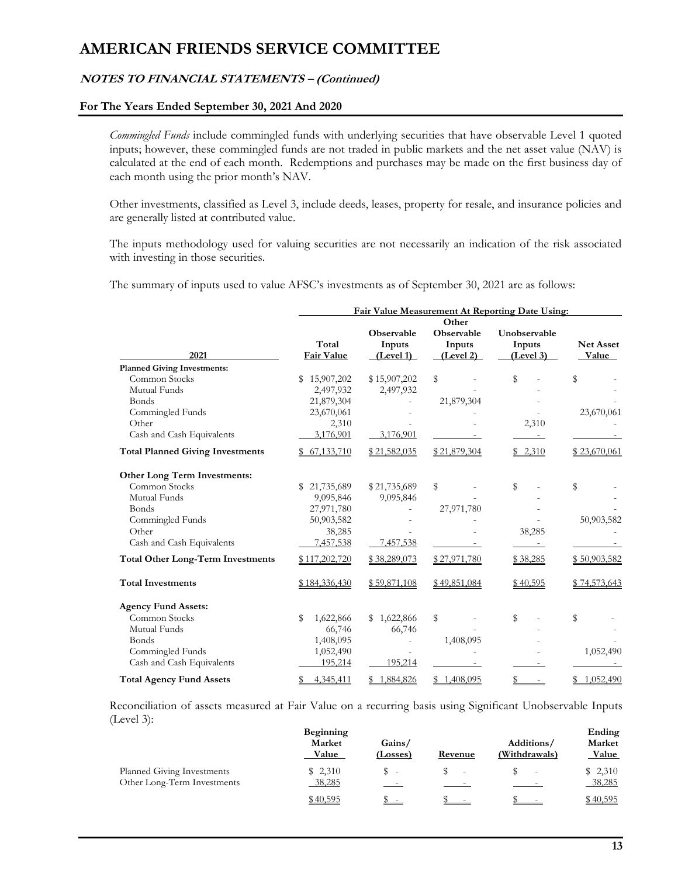# **NOTES TO FINANCIAL STATEMENTS – (Continued)**

#### **For The Years Ended September 30, 2021 And 2020**

*Commingled Funds* include commingled funds with underlying securities that have observable Level 1 quoted inputs; however, these commingled funds are not traded in public markets and the net asset value (NAV) is calculated at the end of each month. Redemptions and purchases may be made on the first business day of each month using the prior month's NAV.

Other investments, classified as Level 3, include deeds, leases, property for resale, and insurance policies and are generally listed at contributed value.

The inputs methodology used for valuing securities are not necessarily an indication of the risk associated with investing in those securities.

The summary of inputs used to value AFSC's investments as of September 30, 2021 are as follows:

|                                          | Fair Value Measurement At Reporting Date Using: |                     |                     |                     |                           |
|------------------------------------------|-------------------------------------------------|---------------------|---------------------|---------------------|---------------------------|
|                                          |                                                 | Observable          | Other<br>Observable | Unobservable        |                           |
| 2021                                     | Total<br><b>Fair Value</b>                      | Inputs<br>(Level 1) | Inputs<br>(Level 2) | Inputs<br>(Level 3) | <b>Net Asset</b><br>Value |
| <b>Planned Giving Investments:</b>       |                                                 |                     |                     |                     |                           |
| Common Stocks                            | 15,907,202<br>\$                                | \$15,907,202        | \$                  | \$                  | \$                        |
| Mutual Funds                             | 2,497,932                                       | 2,497,932           |                     |                     |                           |
| Bonds                                    | 21,879,304                                      |                     | 21,879,304          |                     |                           |
| Commingled Funds                         | 23,670,061                                      |                     |                     |                     | 23,670,061                |
| Other                                    | 2,310                                           |                     |                     | 2,310               |                           |
| Cash and Cash Equivalents                | 3,176,901                                       | 3,176,901           |                     |                     |                           |
| <b>Total Planned Giving Investments</b>  | \$67,133,710                                    | \$21,582,035        | \$21,879,304        | \$2,310             | \$23,670,061              |
| Other Long Term Investments:             |                                                 |                     |                     |                     |                           |
| Common Stocks                            | 21,735,689<br>\$.                               | \$21,735,689        | \$                  | \$                  | \$                        |
| Mutual Funds                             | 9,095,846                                       | 9,095,846           |                     |                     |                           |
| <b>Bonds</b>                             | 27,971,780                                      |                     | 27,971,780          |                     |                           |
| Commingled Funds                         | 50,903,582                                      |                     |                     |                     | 50,903,582                |
| Other                                    | 38,285                                          |                     |                     | 38,285              |                           |
| Cash and Cash Equivalents                | 7,457,538                                       | 7,457,538           |                     |                     |                           |
| <b>Total Other Long-Term Investments</b> | \$117,202,720                                   | \$38,289,073        | \$27,971,780        | \$38,285            | \$50,903,582              |
| <b>Total Investments</b>                 | \$184,336,430                                   | \$59,871,108        | \$49,851,084        | \$40,595            | \$74,573,643              |
| <b>Agency Fund Assets:</b>               |                                                 |                     |                     |                     |                           |
| Common Stocks                            | 1,622,866<br>\$                                 | \$1,622,866         | \$                  | \$                  | \$                        |
| Mutual Funds                             | 66,746                                          | 66,746              |                     |                     |                           |
| Bonds                                    | 1,408,095                                       |                     | 1,408,095           |                     |                           |
| Commingled Funds                         | 1,052,490                                       |                     |                     |                     | 1,052,490                 |
| Cash and Cash Equivalents                | 195,214                                         | 195,214             |                     |                     |                           |
| <b>Total Agency Fund Assets</b>          | 4,345,411                                       | 1,884,826           | 1,408,095           |                     | 1,052,490                 |

Reconciliation of assets measured at Fair Value on a recurring basis using Significant Unobservable Inputs (Level 3):

|                                                           | Beginning<br>Market<br><u>Value</u> | Gains/<br>(Losses) | Revenue                  | Additions/<br>(Withdrawals) | Ending<br>Market<br>Value |
|-----------------------------------------------------------|-------------------------------------|--------------------|--------------------------|-----------------------------|---------------------------|
| Planned Giving Investments<br>Other Long-Term Investments | \$2,310<br>38,285                   | $\sim$ $-$         | $\overline{\phantom{0}}$ |                             | \$2,310<br>38,285         |
|                                                           | \$40,595                            | $\mathcal{P}$ -    | D –                      |                             | \$40,595                  |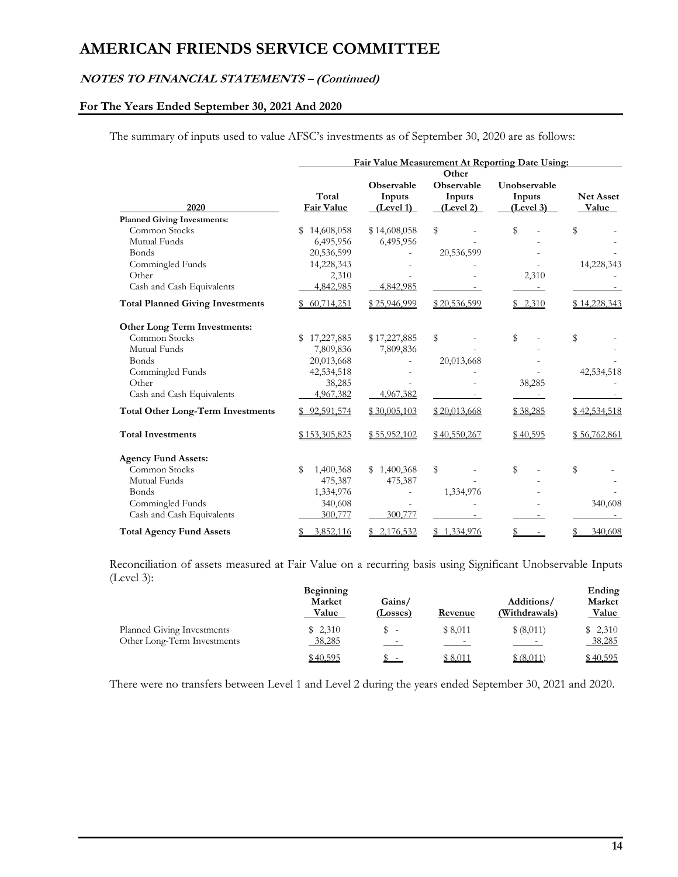### **NOTES TO FINANCIAL STATEMENTS – (Continued)**

# **For The Years Ended September 30, 2021 And 2020**

The summary of inputs used to value AFSC's investments as of September 30, 2020 are as follows:

|                                          |                     | Fair Value Measurement At Reporting Date Using: |                                            |                                     |                           |  |
|------------------------------------------|---------------------|-------------------------------------------------|--------------------------------------------|-------------------------------------|---------------------------|--|
| 2020                                     | Total<br>Fair Value | Observable<br>Inputs<br>(Level 1)               | Other<br>Observable<br>Inputs<br>(Level 2) | Unobservable<br>Inputs<br>(Level 3) | <b>Net Asset</b><br>Value |  |
| <b>Planned Giving Investments:</b>       |                     |                                                 |                                            |                                     |                           |  |
| Common Stocks                            | 14,608,058<br>\$    | \$14,608,058                                    | \$                                         | \$                                  | \$                        |  |
| Mutual Funds                             | 6,495,956           | 6,495,956                                       |                                            |                                     |                           |  |
| Bonds                                    | 20,536,599          |                                                 | 20,536,599                                 |                                     |                           |  |
| Commingled Funds                         | 14,228,343          |                                                 |                                            |                                     | 14,228,343                |  |
| Other                                    | 2,310               |                                                 |                                            | 2,310                               |                           |  |
| Cash and Cash Equivalents                | 4,842,985           | 4,842,985                                       |                                            | $\sim$                              |                           |  |
| <b>Total Planned Giving Investments</b>  | 60,714,251          | \$25,946,999                                    | \$20,536,599                               | \$2,310                             | \$14,228,343              |  |
| Other Long Term Investments:             |                     |                                                 |                                            |                                     |                           |  |
| Common Stocks                            | 17,227,885          | \$17,227,885                                    | \$                                         | \$                                  | \$                        |  |
| Mutual Funds                             | 7,809,836           | 7,809,836                                       |                                            |                                     |                           |  |
| Bonds                                    | 20,013,668          |                                                 | 20,013,668                                 |                                     |                           |  |
| Commingled Funds                         | 42,534,518          |                                                 |                                            |                                     | 42,534,518                |  |
| Other                                    | 38,285              |                                                 |                                            | 38,285                              |                           |  |
| Cash and Cash Equivalents                | 4,967,382           | 4,967,382                                       |                                            |                                     |                           |  |
| <b>Total Other Long-Term Investments</b> | \$92,591,574        | \$30,005,103                                    | \$20,013,668                               | \$38,285                            | \$42,534,518              |  |
| <b>Total Investments</b>                 | \$153,305,825       | \$55,952,102                                    | \$40,550,267                               | \$40,595                            | \$56,762,861              |  |
| <b>Agency Fund Assets:</b>               |                     |                                                 |                                            |                                     |                           |  |
| Common Stocks                            | 1,400,368<br>\$     | \$1,400,368                                     | \$                                         | \$                                  | \$                        |  |
| Mutual Funds                             | 475,387             | 475,387                                         |                                            |                                     |                           |  |
| Bonds                                    | 1,334,976           |                                                 | 1,334,976                                  |                                     |                           |  |
| Commingled Funds                         | 340,608             |                                                 |                                            |                                     | 340,608                   |  |
| Cash and Cash Equivalents                | 300,777             | 300,777                                         |                                            |                                     |                           |  |
| <b>Total Agency Fund Assets</b>          | 3,852,116           | 2,176,532                                       | \$1,334,976                                |                                     | 340,608                   |  |

Reconciliation of assets measured at Fair Value on a recurring basis using Significant Unobservable Inputs (Level 3):

|                             | Beginning    |                |                |                          | Ending       |
|-----------------------------|--------------|----------------|----------------|--------------------------|--------------|
|                             | Market       | Gains/         |                | Additions/               | Market       |
|                             | <b>Value</b> | (Losses)       | <b>Revenue</b> | (Withdrawals)            | <b>Value</b> |
| Planned Giving Investments  | \$2,310      | S.             | \$8.011        | \$ (8,011)               | \$2,310      |
| Other Long-Term Investments | 38,285       | <b>Service</b> | $\sim$ $-$     | <b>Contract Contract</b> | 38,285       |
|                             | \$40,595     | $\sim$         | \$8.011        | \$ (8,011)               | \$40,595     |

There were no transfers between Level 1 and Level 2 during the years ended September 30, 2021 and 2020.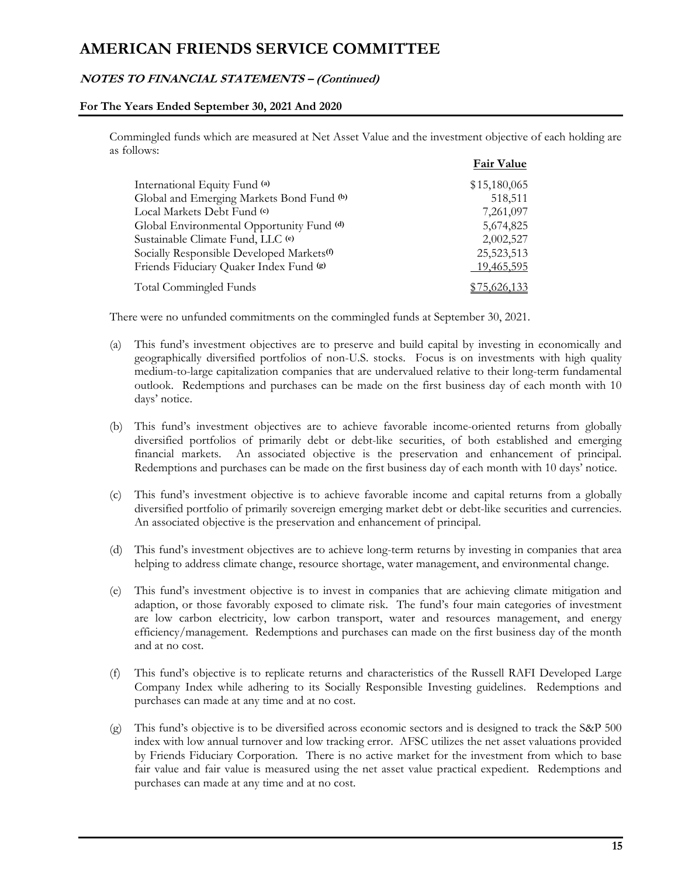### **NOTES TO FINANCIAL STATEMENTS – (Continued)**

### **For The Years Ended September 30, 2021 And 2020**

Commingled funds which are measured at Net Asset Value and the investment objective of each holding are as follows:

|                                                       | <b>Fair Value</b> |
|-------------------------------------------------------|-------------------|
| International Equity Fund (a)                         | \$15,180,065      |
| Global and Emerging Markets Bond Fund (b)             | 518,511           |
| Local Markets Debt Fund (c)                           | 7,261,097         |
| Global Environmental Opportunity Fund (d)             | 5,674,825         |
| Sustainable Climate Fund, LLC (e)                     | 2,002,527         |
| Socially Responsible Developed Markets <sup>(f)</sup> | 25,523,513        |
| Friends Fiduciary Quaker Index Fund (g)               | 19,465,595        |
| Total Commingled Funds                                | \$75,626,133      |

There were no unfunded commitments on the commingled funds at September 30, 2021.

- (a) This fund's investment objectives are to preserve and build capital by investing in economically and geographically diversified portfolios of non-U.S. stocks. Focus is on investments with high quality medium-to-large capitalization companies that are undervalued relative to their long-term fundamental outlook. Redemptions and purchases can be made on the first business day of each month with 10 days' notice.
- (b) This fund's investment objectives are to achieve favorable income-oriented returns from globally diversified portfolios of primarily debt or debt-like securities, of both established and emerging financial markets. An associated objective is the preservation and enhancement of principal. Redemptions and purchases can be made on the first business day of each month with 10 days' notice.
- (c) This fund's investment objective is to achieve favorable income and capital returns from a globally diversified portfolio of primarily sovereign emerging market debt or debt-like securities and currencies. An associated objective is the preservation and enhancement of principal.
- (d) This fund's investment objectives are to achieve long-term returns by investing in companies that area helping to address climate change, resource shortage, water management, and environmental change.
- (e) This fund's investment objective is to invest in companies that are achieving climate mitigation and adaption, or those favorably exposed to climate risk. The fund's four main categories of investment are low carbon electricity, low carbon transport, water and resources management, and energy efficiency/management. Redemptions and purchases can made on the first business day of the month and at no cost.
- (f) This fund's objective is to replicate returns and characteristics of the Russell RAFI Developed Large Company Index while adhering to its Socially Responsible Investing guidelines. Redemptions and purchases can made at any time and at no cost.
- (g) This fund's objective is to be diversified across economic sectors and is designed to track the S&P 500 index with low annual turnover and low tracking error. AFSC utilizes the net asset valuations provided by Friends Fiduciary Corporation. There is no active market for the investment from which to base fair value and fair value is measured using the net asset value practical expedient. Redemptions and purchases can made at any time and at no cost.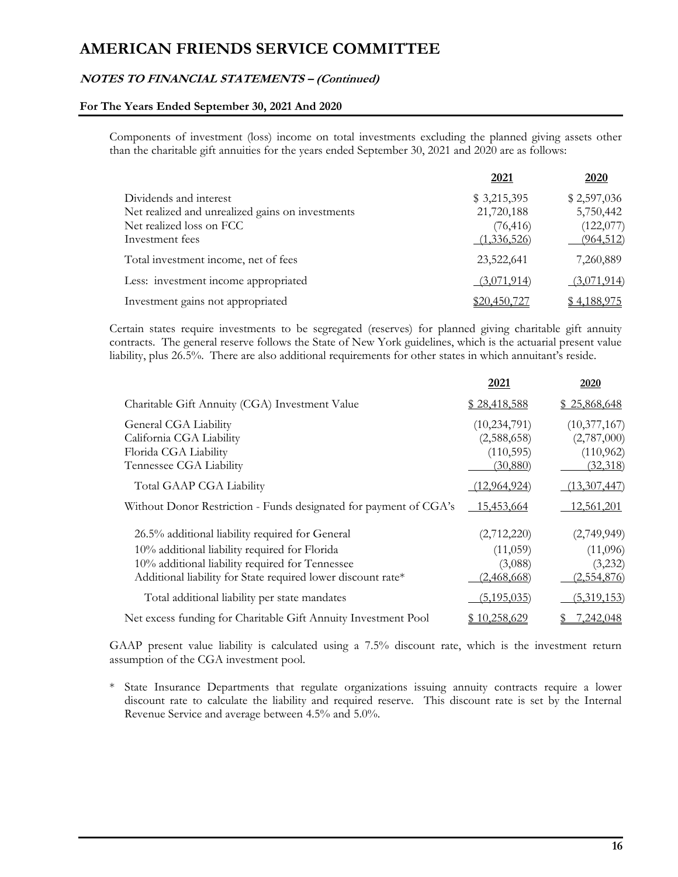### **NOTES TO FINANCIAL STATEMENTS – (Continued)**

#### **For The Years Ended September 30, 2021 And 2020**

Components of investment (loss) income on total investments excluding the planned giving assets other than the charitable gift annuities for the years ended September 30, 2021 and 2020 are as follows:

|                                                  | 2021                | 2020               |
|--------------------------------------------------|---------------------|--------------------|
| Dividends and interest                           | \$3,215,395         | \$2,597,036        |
| Net realized and unrealized gains on investments | 21,720,188          | 5,750,442          |
| Net realized loss on FCC                         | (76, 416)           | (122, 077)         |
| Investment fees                                  | (1,336,526)         | (964, 512)         |
| Total investment income, net of fees             | 23,522,641          | 7,260,889          |
| Less: investment income appropriated             | (3,071,914)         | (3,071,914)        |
| Investment gains not appropriated                | <u>\$20,450,727</u> | <u>\$4,188,975</u> |

Certain states require investments to be segregated (reserves) for planned giving charitable gift annuity contracts. The general reserve follows the State of New York guidelines, which is the actuarial present value liability, plus 26.5%. There are also additional requirements for other states in which annuitant's reside.

|                                                                                                                                                                                                                     | 2021                                                     | 2020                                                  |
|---------------------------------------------------------------------------------------------------------------------------------------------------------------------------------------------------------------------|----------------------------------------------------------|-------------------------------------------------------|
| Charitable Gift Annuity (CGA) Investment Value                                                                                                                                                                      | \$28,418,588                                             | \$25,868,648                                          |
| General CGA Liability<br>California CGA Liability<br>Florida CGA Liability<br>Tennessee CGA Liability                                                                                                               | (10, 234, 791)<br>(2,588,658)<br>(110, 595)<br>(30, 880) | (10,377,167)<br>(2,787,000)<br>(110, 962)<br>(32,318) |
| Total GAAP CGA Liability                                                                                                                                                                                            | (12, 964, 924)                                           | (13,307,447)                                          |
| Without Donor Restriction - Funds designated for payment of CGA's                                                                                                                                                   | 15,453,664                                               | 12,561,201                                            |
| 26.5% additional liability required for General<br>10% additional liability required for Florida<br>10% additional liability required for Tennessee<br>Additional liability for State required lower discount rate* | (2,712,220)<br>(11,059)<br>(3,088)<br><u>(2,468,668)</u> | (2,749,949)<br>(11,096)<br>(3,232)<br>(2,554,876)     |
| Total additional liability per state mandates                                                                                                                                                                       | (5, 195, 035)                                            | (5,319,153)                                           |
| Net excess funding for Charitable Gift Annuity Investment Pool                                                                                                                                                      | \$10,258,629                                             | <u>7,242,048</u>                                      |

GAAP present value liability is calculated using a 7.5% discount rate, which is the investment return assumption of the CGA investment pool.

\* State Insurance Departments that regulate organizations issuing annuity contracts require a lower discount rate to calculate the liability and required reserve. This discount rate is set by the Internal Revenue Service and average between 4.5% and 5.0%.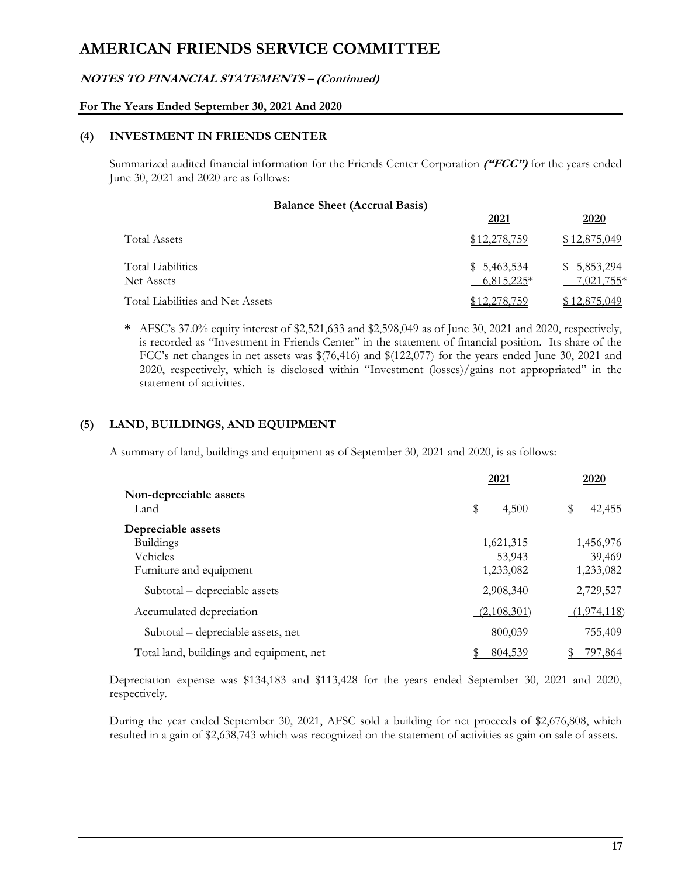### **NOTES TO FINANCIAL STATEMENTS – (Continued)**

### **For The Years Ended September 30, 2021 And 2020**

### **(4) INVESTMENT IN FRIENDS CENTER**

Summarized audited financial information for the Friends Center Corporation **("FCC")** for the years ended June 30, 2021 and 2020 are as follows:

| <b>Balance Sheet (Accrual Basis)</b>   |                             |                           |
|----------------------------------------|-----------------------------|---------------------------|
|                                        | 2021                        | 2020                      |
| <b>Total Assets</b>                    | \$12,278,759                | \$12,875,049              |
| <b>Total Liabilities</b><br>Net Assets | \$5,463,534<br>$6,815,225*$ | \$5,853,294<br>7,021,755* |
| Total Liabilities and Net Assets       | \$12,278,759                | \$12,875,049              |

**\*** AFSC's 37.0% equity interest of \$2,521,633 and \$2,598,049 as of June 30, 2021 and 2020, respectively, is recorded as "Investment in Friends Center" in the statement of financial position. Its share of the FCC's net changes in net assets was \$(76,416) and \$(122,077) for the years ended June 30, 2021 and 2020, respectively, which is disclosed within "Investment (losses)/gains not appropriated" in the statement of activities.

# **(5) LAND, BUILDINGS, AND EQUIPMENT**

A summary of land, buildings and equipment as of September 30, 2021 and 2020, is as follows:

|                                          | 2021        | 2020         |
|------------------------------------------|-------------|--------------|
| Non-depreciable assets<br>Land           | \$<br>4,500 | \$<br>42,455 |
| Depreciable assets                       |             |              |
| <b>Buildings</b>                         | 1,621,315   | 1,456,976    |
| Vehicles                                 | 53,943      | 39,469       |
| Furniture and equipment                  | 1,233,082   | 1,233,082    |
| Subtotal – depreciable assets            | 2,908,340   | 2,729,527    |
| Accumulated depreciation                 | (2,108,301) | (1,974,118)  |
| Subtotal – depreciable assets, net       | 800,039     | 755,409      |
| Total land, buildings and equipment, net | 804,539     | 797,864      |

Depreciation expense was \$134,183 and \$113,428 for the years ended September 30, 2021 and 2020, respectively.

During the year ended September 30, 2021, AFSC sold a building for net proceeds of \$2,676,808, which resulted in a gain of \$2,638,743 which was recognized on the statement of activities as gain on sale of assets.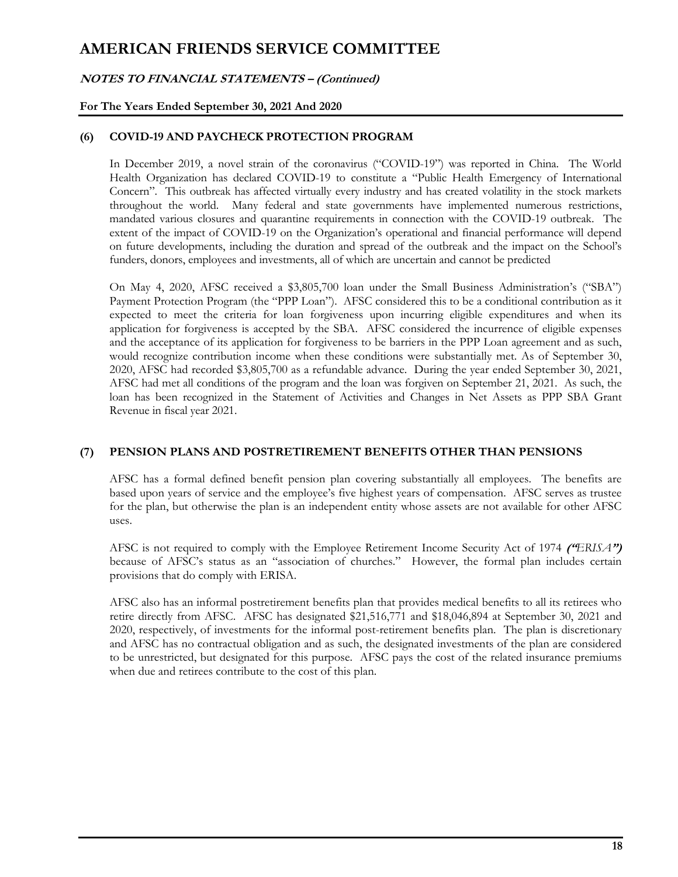### **NOTES TO FINANCIAL STATEMENTS – (Continued)**

### **For The Years Ended September 30, 2021 And 2020**

### **(6) COVID-19 AND PAYCHECK PROTECTION PROGRAM**

In December 2019, a novel strain of the coronavirus ("COVID-19") was reported in China. The World Health Organization has declared COVID-19 to constitute a "Public Health Emergency of International Concern". This outbreak has affected virtually every industry and has created volatility in the stock markets throughout the world. Many federal and state governments have implemented numerous restrictions, mandated various closures and quarantine requirements in connection with the COVID-19 outbreak. The extent of the impact of COVID-19 on the Organization's operational and financial performance will depend on future developments, including the duration and spread of the outbreak and the impact on the School's funders, donors, employees and investments, all of which are uncertain and cannot be predicted

On May 4, 2020, AFSC received a \$3,805,700 loan under the Small Business Administration's ("SBA") Payment Protection Program (the "PPP Loan"). AFSC considered this to be a conditional contribution as it expected to meet the criteria for loan forgiveness upon incurring eligible expenditures and when its application for forgiveness is accepted by the SBA. AFSC considered the incurrence of eligible expenses and the acceptance of its application for forgiveness to be barriers in the PPP Loan agreement and as such, would recognize contribution income when these conditions were substantially met. As of September 30, 2020, AFSC had recorded \$3,805,700 as a refundable advance. During the year ended September 30, 2021, AFSC had met all conditions of the program and the loan was forgiven on September 21, 2021. As such, the loan has been recognized in the Statement of Activities and Changes in Net Assets as PPP SBA Grant Revenue in fiscal year 2021.

#### **(7) PENSION PLANS AND POSTRETIREMENT BENEFITS OTHER THAN PENSIONS**

AFSC has a formal defined benefit pension plan covering substantially all employees. The benefits are based upon years of service and the employee's five highest years of compensation. AFSC serves as trustee for the plan, but otherwise the plan is an independent entity whose assets are not available for other AFSC uses.

AFSC is not required to comply with the Employee Retirement Income Security Act of 1974 **("***ERISA***")** because of AFSC's status as an "association of churches." However, the formal plan includes certain provisions that do comply with ERISA.

AFSC also has an informal postretirement benefits plan that provides medical benefits to all its retirees who retire directly from AFSC. AFSC has designated \$21,516,771 and \$18,046,894 at September 30, 2021 and 2020, respectively, of investments for the informal post-retirement benefits plan. The plan is discretionary and AFSC has no contractual obligation and as such, the designated investments of the plan are considered to be unrestricted, but designated for this purpose. AFSC pays the cost of the related insurance premiums when due and retirees contribute to the cost of this plan.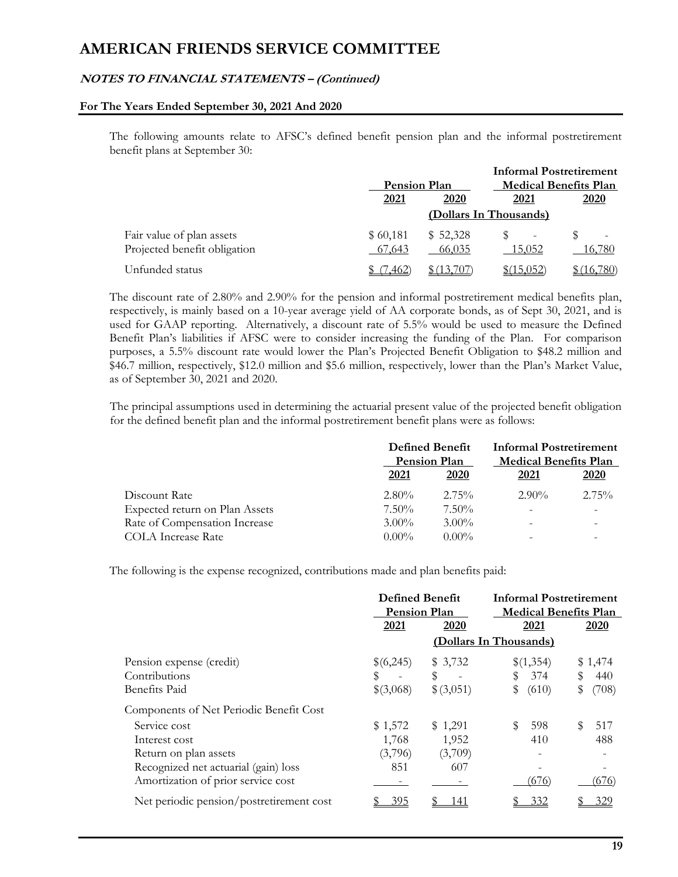### **NOTES TO FINANCIAL STATEMENTS – (Continued)**

#### **For The Years Ended September 30, 2021 And 2020**

The following amounts relate to AFSC's defined benefit pension plan and the informal postretirement benefit plans at September 30:

|                                                           |                     |                    | <b>Informal Postretirement</b> |          |
|-----------------------------------------------------------|---------------------|--------------------|--------------------------------|----------|
|                                                           | <b>Pension Plan</b> |                    | <b>Medical Benefits Plan</b>   |          |
|                                                           | 2021                | 2020               | <u>2021</u>                    | 2020     |
|                                                           |                     |                    | (Dollars In Thousands)         |          |
| Fair value of plan assets<br>Projected benefit obligation | \$60,181<br>67,643  | \$52,328<br>66,035 | 15.052                         | 16,780   |
| Unfunded status                                           | 462.                |                    | \$(15.052)                     | (16.780) |

The discount rate of 2.80% and 2.90% for the pension and informal postretirement medical benefits plan, respectively, is mainly based on a 10-year average yield of AA corporate bonds, as of Sept 30, 2021, and is used for GAAP reporting. Alternatively, a discount rate of 5.5% would be used to measure the Defined Benefit Plan's liabilities if AFSC were to consider increasing the funding of the Plan. For comparison purposes, a 5.5% discount rate would lower the Plan's Projected Benefit Obligation to \$48.2 million and \$46.7 million, respectively, \$12.0 million and \$5.6 million, respectively, lower than the Plan's Market Value, as of September 30, 2021 and 2020.

The principal assumptions used in determining the actuarial present value of the projected benefit obligation for the defined benefit plan and the informal postretirement benefit plans were as follows:

| <b>Defined Benefit</b><br><b>Pension Plan</b> |             | <b>Informal Postretirement</b><br><b>Medical Benefits Plan</b> |             |
|-----------------------------------------------|-------------|----------------------------------------------------------------|-------------|
| 2021                                          | <b>2020</b> | 2021                                                           | <b>2020</b> |
| $2.80\%$                                      | $2.75\%$    | $2.90\%$                                                       | $2.75\%$    |
| $7.50\%$                                      | $7.50\%$    | $\overline{\phantom{0}}$                                       |             |
| $3.00\%$                                      | $3.00\%$    | $\overline{\phantom{m}}$                                       |             |
| $0.00\%$                                      | $0.00\%$    |                                                                |             |
|                                               |             |                                                                |             |

The following is the expense recognized, contributions made and plan benefits paid:

|                                          | <b>Defined Benefit</b> |           | <b>Informal Postretirement</b> |             |
|------------------------------------------|------------------------|-----------|--------------------------------|-------------|
|                                          | <b>Pension Plan</b>    |           | <b>Medical Benefits Plan</b>   |             |
|                                          | 2021                   | 2020      | 2021                           | 2020        |
|                                          |                        |           | (Dollars In Thousands)         |             |
| Pension expense (credit)                 | \$(6,245)              | \$3,732   | \$(1,354)                      | \$1,474     |
| Contributions                            | S                      | S         | 374                            | 440<br>\$   |
| <b>Benefits Paid</b>                     | \$(3,068)              | \$(3,051) | \$<br>(610)                    | (708)<br>\$ |
| Components of Net Periodic Benefit Cost  |                        |           |                                |             |
| Service cost                             | \$1,572                | \$1,291   | 598                            | 517         |
| Interest cost                            | 1,768                  | 1,952     | 410                            | 488         |
| Return on plan assets                    | (3,796)                | (3,709)   |                                |             |
| Recognized net actuarial (gain) loss     | 851                    | 607       |                                |             |
| Amortization of prior service cost       |                        |           | (676)                          | (676)       |
| Net periodic pension/postretirement cost | 395                    | -41       | 332                            | 329         |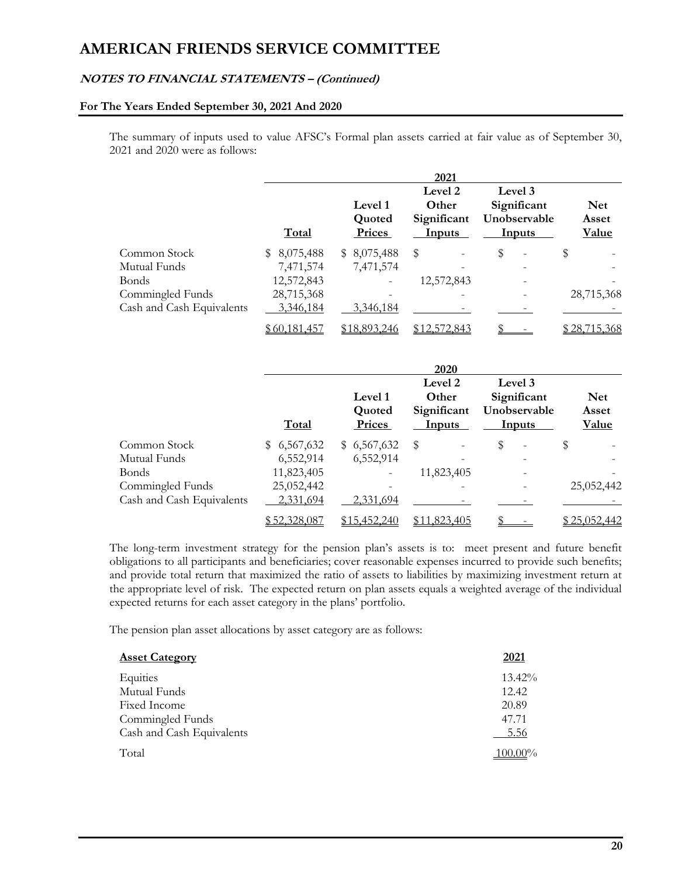### **NOTES TO FINANCIAL STATEMENTS – (Continued)**

#### **For The Years Ended September 30, 2021 And 2020**

The summary of inputs used to value AFSC's Formal plan assets carried at fair value as of September 30, 2021 and 2020 were as follows:

|                           | Total        | Level 1<br>Quoted<br>Prices | 2021<br>Level 2<br>Other<br>Significant<br><b>Inputs</b> | Level 3<br>Significant<br>Unobservable<br><b>Inputs</b> | <b>Net</b><br>Asset<br><b>Value</b> |
|---------------------------|--------------|-----------------------------|----------------------------------------------------------|---------------------------------------------------------|-------------------------------------|
| Common Stock              | \$8,075,488  | \$8,075,488                 | \$                                                       | \$                                                      | \$                                  |
| Mutual Funds              | 7,471,574    | 7,471,574                   |                                                          |                                                         |                                     |
| <b>Bonds</b>              | 12,572,843   |                             | 12,572,843                                               |                                                         |                                     |
| Commingled Funds          | 28,715,368   |                             |                                                          |                                                         | 28,715,368                          |
| Cash and Cash Equivalents | 3,346,184    | 3,346,184                   |                                                          |                                                         |                                     |
|                           | \$60,181,457 | \$18,893,246                | \$12,572,843                                             |                                                         | <u>\$28,715,368</u>                 |

|                           | Total        | Level 1<br>Quoted<br>Prices | 2020<br>Level 2<br>Other<br>Significant<br><b>Inputs</b> | Level 3<br>Significant<br>Unobservable<br><b>Inputs</b> | <b>Net</b><br>Asset<br><b>Value</b> |
|---------------------------|--------------|-----------------------------|----------------------------------------------------------|---------------------------------------------------------|-------------------------------------|
| Common Stock              | \$6,567,632  | \$6,567,632                 | S<br>$\overline{\phantom{0}}$                            | \$<br>$\overline{\phantom{0}}$                          | \$                                  |
| Mutual Funds              | 6,552,914    | 6,552,914                   |                                                          |                                                         |                                     |
| <b>Bonds</b>              | 11,823,405   |                             | 11,823,405                                               |                                                         |                                     |
| Commingled Funds          | 25,052,442   |                             |                                                          |                                                         | 25,052,442                          |
| Cash and Cash Equivalents | 2,331,694    | 2,331,694                   |                                                          |                                                         |                                     |
|                           | \$52,328,087 | \$15,452,240                | \$11,823,405                                             |                                                         | <u>\$25,052,442</u>                 |

The long-term investment strategy for the pension plan's assets is to: meet present and future benefit obligations to all participants and beneficiaries; cover reasonable expenses incurred to provide such benefits; and provide total return that maximized the ratio of assets to liabilities by maximizing investment return at the appropriate level of risk. The expected return on plan assets equals a weighted average of the individual expected returns for each asset category in the plans' portfolio.

The pension plan asset allocations by asset category are as follows:

| <b>Asset Category</b>     | 2021       |
|---------------------------|------------|
| Equities                  | $13.42\%$  |
| Mutual Funds              | 12.42      |
| Fixed Income              | 20.89      |
| Commingled Funds          | 47.71      |
| Cash and Cash Equivalents | 5.56       |
| Total                     | $100.00\%$ |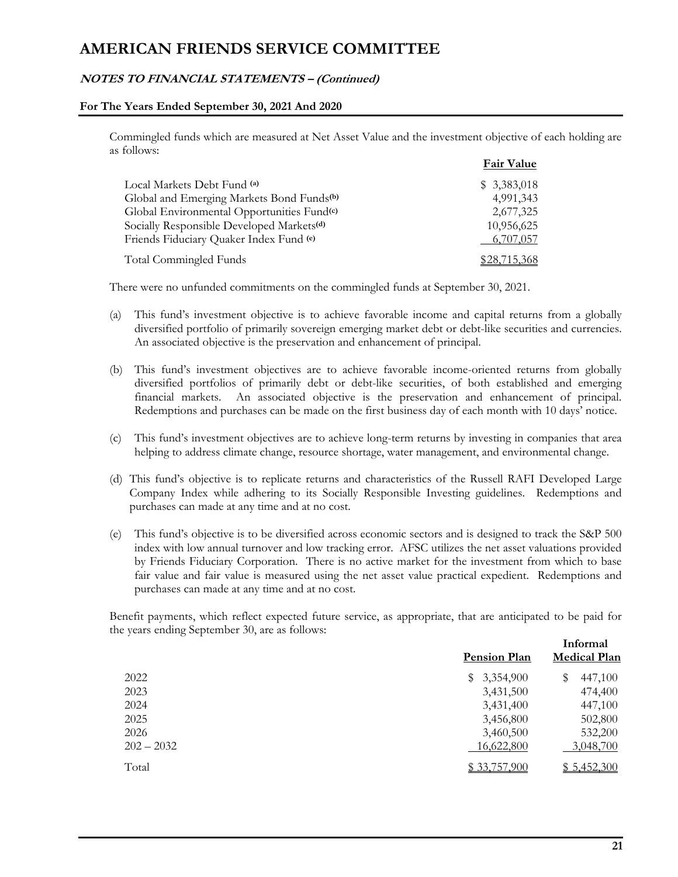### **NOTES TO FINANCIAL STATEMENTS – (Continued)**

#### **For The Years Ended September 30, 2021 And 2020**

Commingled funds which are measured at Net Asset Value and the investment objective of each holding are as follows:

|                                                        | <b>Fair Value</b> |
|--------------------------------------------------------|-------------------|
| Local Markets Debt Fund (a)                            | \$3,383,018       |
| Global and Emerging Markets Bond Funds <sup>(b)</sup>  | 4,991,343         |
| Global Environmental Opportunities Fund <sup>(c)</sup> | 2,677,325         |
| Socially Responsible Developed Markets <sup>(d)</sup>  | 10,956,625        |
| Friends Fiduciary Quaker Index Fund (e)                | 6,707,057         |
| Total Commingled Funds                                 | \$28,715,368      |

There were no unfunded commitments on the commingled funds at September 30, 2021.

- (a) This fund's investment objective is to achieve favorable income and capital returns from a globally diversified portfolio of primarily sovereign emerging market debt or debt-like securities and currencies. An associated objective is the preservation and enhancement of principal.
- (b) This fund's investment objectives are to achieve favorable income-oriented returns from globally diversified portfolios of primarily debt or debt-like securities, of both established and emerging financial markets. An associated objective is the preservation and enhancement of principal. Redemptions and purchases can be made on the first business day of each month with 10 days' notice.
- (c) This fund's investment objectives are to achieve long-term returns by investing in companies that area helping to address climate change, resource shortage, water management, and environmental change.
- (d) This fund's objective is to replicate returns and characteristics of the Russell RAFI Developed Large Company Index while adhering to its Socially Responsible Investing guidelines. Redemptions and purchases can made at any time and at no cost.
- (e) This fund's objective is to be diversified across economic sectors and is designed to track the S&P 500 index with low annual turnover and low tracking error. AFSC utilizes the net asset valuations provided by Friends Fiduciary Corporation. There is no active market for the investment from which to base fair value and fair value is measured using the net asset value practical expedient. Redemptions and purchases can made at any time and at no cost.

Benefit payments, which reflect expected future service, as appropriate, that are anticipated to be paid for the years ending September 30, are as follows:

|              | <b>Pension Plan</b> | Informal<br><b>Medical Plan</b> |  |
|--------------|---------------------|---------------------------------|--|
| 2022         | \$3,354,900         | S<br>447,100                    |  |
| 2023         | 3,431,500           | 474,400                         |  |
| 2024         | 3,431,400           | 447,100                         |  |
| 2025         | 3,456,800           | 502,800                         |  |
| 2026         | 3,460,500           | 532,200                         |  |
| $202 - 2032$ | 16,622,800          | 3,048,700                       |  |
| Total        | \$33,757,900        | \$5,452,300                     |  |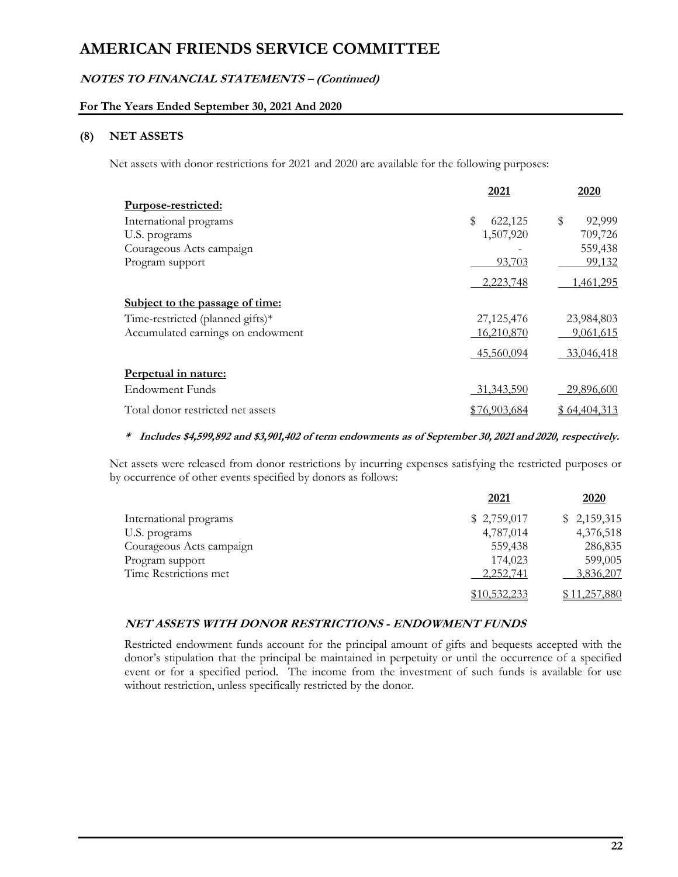# **NOTES TO FINANCIAL STATEMENTS – (Continued)**

### **For The Years Ended September 30, 2021 And 2020**

### **(8) NET ASSETS**

Net assets with donor restrictions for 2021 and 2020 are available for the following purposes:

|                                   | 2021          | 2020              |
|-----------------------------------|---------------|-------------------|
| Purpose-restricted:               |               |                   |
| International programs            | \$<br>622,125 | 92,999<br>\$      |
| U.S. programs                     | 1,507,920     | 709,726           |
| Courageous Acts campaign          |               | 559,438           |
| Program support                   | 93,703        | 99,132            |
|                                   | 2,223,748     | 1,461,295         |
| Subject to the passage of time:   |               |                   |
| Time-restricted (planned gifts)*  | 27, 125, 476  | 23,984,803        |
| Accumulated earnings on endowment | 16,210,870    | 9,061,615         |
|                                   | 45,560,094    | 33,046,418        |
| Perpetual in nature:              |               |                   |
| <b>Endowment Funds</b>            | 31, 343, 590  | <u>29,896,600</u> |
| Total donor restricted net assets | \$76,903,684  | \$64,404,313      |

#### **\* Includes \$4,599,892 and \$3,901,402 of term endowments as of September 30, 2021 and 2020, respectively.**

Net assets were released from donor restrictions by incurring expenses satisfying the restricted purposes or by occurrence of other events specified by donors as follows:

|                          | 2021         | 2020         |
|--------------------------|--------------|--------------|
| International programs   | \$2,759,017  | \$2,159,315  |
| U.S. programs            | 4,787,014    | 4,376,518    |
| Courageous Acts campaign | 559,438      | 286,835      |
| Program support          | 174,023      | 599,005      |
| Time Restrictions met    | 2,252,741    | 3,836,207    |
|                          | \$10,532,233 | \$11,257,880 |

### **NET ASSETS WITH DONOR RESTRICTIONS - ENDOWMENT FUNDS**

Restricted endowment funds account for the principal amount of gifts and bequests accepted with the donor's stipulation that the principal be maintained in perpetuity or until the occurrence of a specified event or for a specified period. The income from the investment of such funds is available for use without restriction, unless specifically restricted by the donor.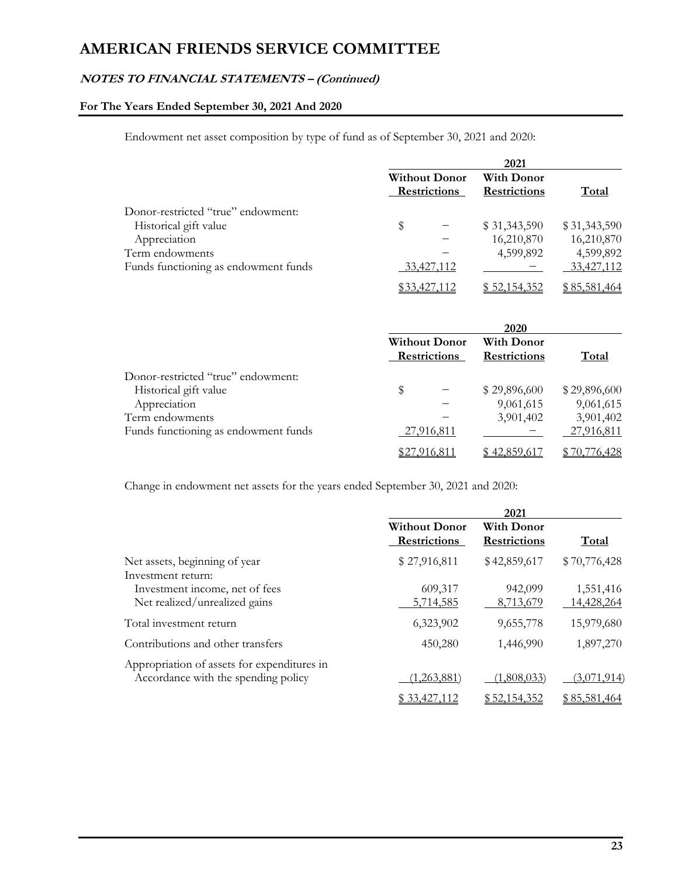# **NOTES TO FINANCIAL STATEMENTS – (Continued)**

# **For The Years Ended September 30, 2021 And 2020**

Endowment net asset composition by type of fund as of September 30, 2021 and 2020:

|                                      | 2021 |                                             |                                   |              |
|--------------------------------------|------|---------------------------------------------|-----------------------------------|--------------|
|                                      |      | <b>Without Donor</b><br><b>Restrictions</b> | <b>With Donor</b><br>Restrictions | Total        |
| Donor-restricted "true" endowment:   |      |                                             |                                   |              |
| Historical gift value                | S    |                                             | \$31,343,590                      | \$31,343,590 |
| Appreciation                         |      |                                             | 16,210,870                        | 16,210,870   |
| Term endowments                      |      |                                             | 4,599,892                         | 4,599,892    |
| Funds functioning as endowment funds |      | 33,427,112                                  |                                   | 33,427,112   |
|                                      |      | \$33,427,112                                | \$52,154,352                      | \$85,581,464 |

|                                      |                                             | 2020                                     |              |
|--------------------------------------|---------------------------------------------|------------------------------------------|--------------|
|                                      | <b>Without Donor</b><br><b>Restrictions</b> | <b>With Donor</b><br><b>Restrictions</b> | Total        |
| Donor-restricted "true" endowment:   |                                             |                                          |              |
| Historical gift value                | \$                                          | \$29,896,600                             | \$29,896,600 |
| Appreciation                         |                                             | 9,061,615                                | 9,061,615    |
| Term endowments                      |                                             | 3,901,402                                | 3,901,402    |
| Funds functioning as endowment funds | <u>27,916,811</u>                           |                                          | 27,916,811   |
|                                      | \$27,916,811                                | \$42,859,617                             | \$70,776,428 |

Change in endowment net assets for the years ended September 30, 2021 and 2020:

|                                                                                    |                                             | 2021                                     |                         |
|------------------------------------------------------------------------------------|---------------------------------------------|------------------------------------------|-------------------------|
|                                                                                    | <b>Without Donor</b><br><b>Restrictions</b> | <b>With Donor</b><br><b>Restrictions</b> | <b>Total</b>            |
| Net assets, beginning of year<br>Investment return:                                | \$27,916,811                                | \$42,859,617                             | \$70,776,428            |
| Investment income, net of fees<br>Net realized/unrealized gains                    | 609,317<br>5,714,585                        | 942,099<br>8,713,679                     | 1,551,416<br>14,428,264 |
| Total investment return                                                            | 6,323,902                                   | 9,655,778                                | 15,979,680              |
| Contributions and other transfers                                                  | 450,280                                     | 1,446,990                                | 1,897,270               |
| Appropriation of assets for expenditures in<br>Accordance with the spending policy | (1,263,881)                                 | (1,808,033)                              | (3,071,914)             |
|                                                                                    | \$ 33,427,112                               | \$52,154,352                             | \$85,581,464            |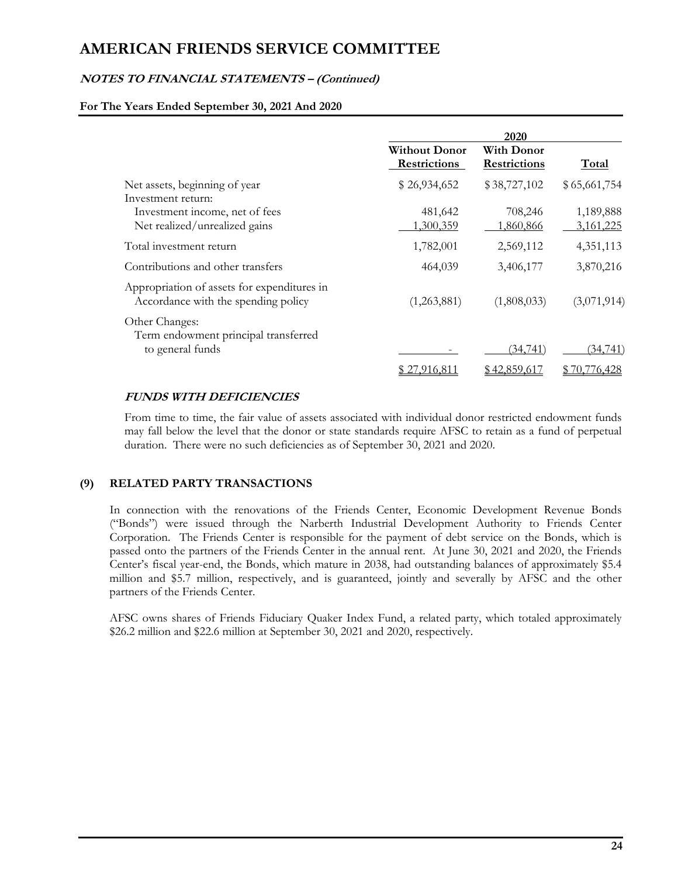### **NOTES TO FINANCIAL STATEMENTS – (Continued)**

#### **For The Years Ended September 30, 2021 And 2020**

|                                                                                    |                                             | 2020                                     |                               |
|------------------------------------------------------------------------------------|---------------------------------------------|------------------------------------------|-------------------------------|
|                                                                                    | <b>Without Donor</b><br><b>Restrictions</b> | <b>With Donor</b><br><b>Restrictions</b> | <b>Total</b>                  |
| Net assets, beginning of year<br>Investment return:                                | \$26,934,652                                | \$38,727,102                             | \$65,661,754                  |
| Investment income, net of fees<br>Net realized/unrealized gains                    | 481,642<br>1,300,359                        | 708,246<br>1,860,866                     | 1,189,888<br><u>3,161,225</u> |
| Total investment return                                                            | 1,782,001                                   | 2,569,112                                | 4,351,113                     |
| Contributions and other transfers                                                  | 464,039                                     | 3,406,177                                | 3,870,216                     |
| Appropriation of assets for expenditures in<br>Accordance with the spending policy | (1,263,881)                                 | (1,808,033)                              | (3,071,914)                   |
| Other Changes:<br>Term endowment principal transferred<br>to general funds         |                                             | <u>(34,741)</u>                          | <u>(34,741)</u>               |
|                                                                                    | \$ 27.916.811                               | \$42,859,617                             | \$70,776,428                  |

### **FUNDS WITH DEFICIENCIES**

From time to time, the fair value of assets associated with individual donor restricted endowment funds may fall below the level that the donor or state standards require AFSC to retain as a fund of perpetual duration. There were no such deficiencies as of September 30, 2021 and 2020.

### **(9) RELATED PARTY TRANSACTIONS**

In connection with the renovations of the Friends Center, Economic Development Revenue Bonds ("Bonds") were issued through the Narberth Industrial Development Authority to Friends Center Corporation. The Friends Center is responsible for the payment of debt service on the Bonds, which is passed onto the partners of the Friends Center in the annual rent. At June 30, 2021 and 2020, the Friends Center's fiscal year-end, the Bonds, which mature in 2038, had outstanding balances of approximately \$5.4 million and \$5.7 million, respectively, and is guaranteed, jointly and severally by AFSC and the other partners of the Friends Center.

AFSC owns shares of Friends Fiduciary Quaker Index Fund, a related party, which totaled approximately \$26.2 million and \$22.6 million at September 30, 2021 and 2020, respectively.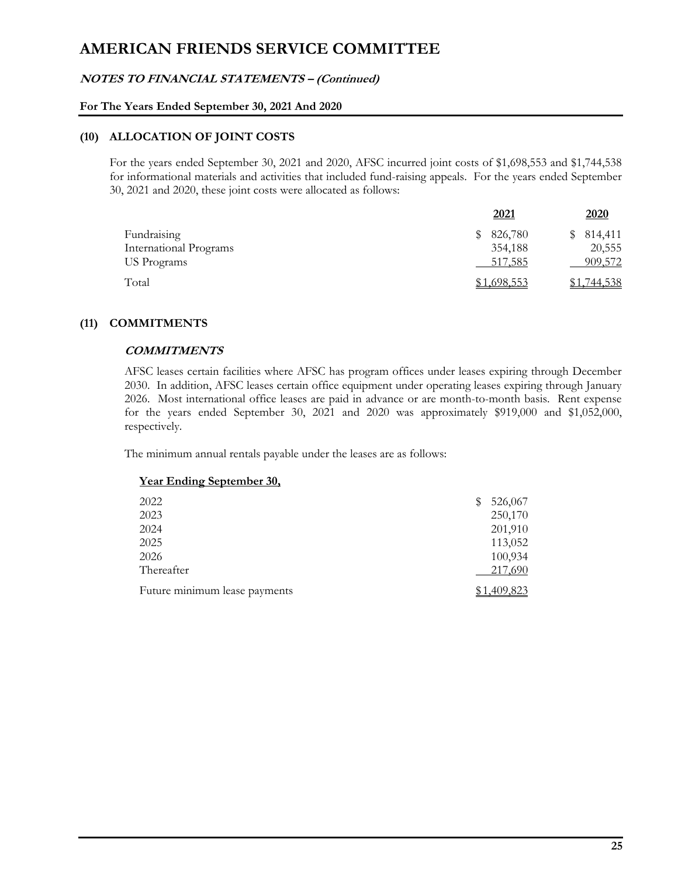### **NOTES TO FINANCIAL STATEMENTS – (Continued)**

#### **For The Years Ended September 30, 2021 And 2020**

#### **(10) ALLOCATION OF JOINT COSTS**

For the years ended September 30, 2021 and 2020, AFSC incurred joint costs of \$1,698,553 and \$1,744,538 for informational materials and activities that included fund-raising appeals. For the years ended September 30, 2021 and 2020, these joint costs were allocated as follows:

|                        | 2021        | 2020        |
|------------------------|-------------|-------------|
| Fundraising            | 826,780     | 814,411     |
| International Programs | 354,188     | 20,555      |
| US Programs            | 517,585     | 909,572     |
| Total                  | \$1,698,553 | \$1,744,538 |

### **(11) COMMITMENTS**

#### **COMMITMENTS**

AFSC leases certain facilities where AFSC has program offices under leases expiring through December 2030. In addition, AFSC leases certain office equipment under operating leases expiring through January 2026. Most international office leases are paid in advance or are month-to-month basis. Rent expense for the years ended September 30, 2021 and 2020 was approximately \$919,000 and \$1,052,000, respectively.

The minimum annual rentals payable under the leases are as follows:

|  |  | <b>Year Ending September 30,</b> |
|--|--|----------------------------------|
|  |  |                                  |

| 2022                          | S | 526,067  |
|-------------------------------|---|----------|
| 2023                          |   | 250,170  |
| 2024                          |   | 201,910  |
| 2025                          |   | 113,052  |
| 2026                          |   | 100,934  |
| Thereafter                    |   | 217,690  |
| Future minimum lease payments |   | .409,823 |